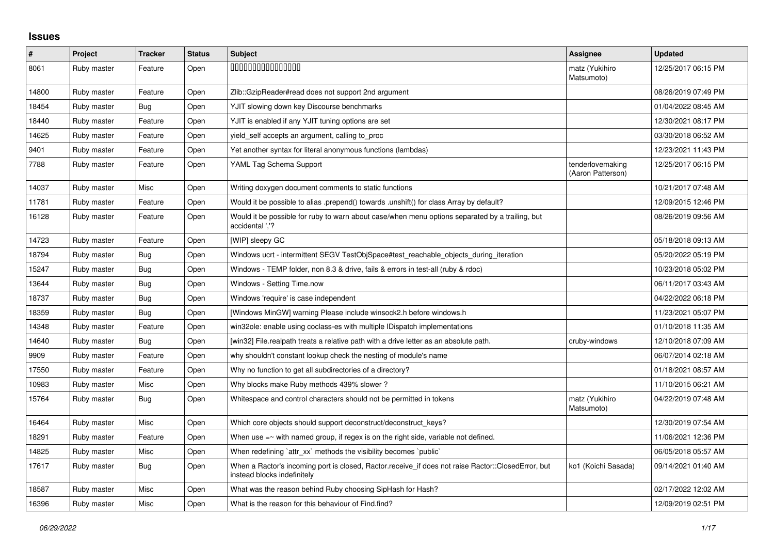## **Issues**

| $\pmb{\#}$ | Project     | <b>Tracker</b> | <b>Status</b> | <b>Subject</b>                                                                                                                    | Assignee                              | <b>Updated</b>      |
|------------|-------------|----------------|---------------|-----------------------------------------------------------------------------------------------------------------------------------|---------------------------------------|---------------------|
| 8061       | Ruby master | Feature        | Open          | 000000000000000                                                                                                                   | matz (Yukihiro<br>Matsumoto)          | 12/25/2017 06:15 PM |
| 14800      | Ruby master | Feature        | Open          | Zlib::GzipReader#read does not support 2nd argument                                                                               |                                       | 08/26/2019 07:49 PM |
| 18454      | Ruby master | Bug            | Open          | YJIT slowing down key Discourse benchmarks                                                                                        |                                       | 01/04/2022 08:45 AM |
| 18440      | Ruby master | Feature        | Open          | YJIT is enabled if any YJIT tuning options are set                                                                                |                                       | 12/30/2021 08:17 PM |
| 14625      | Ruby master | Feature        | Open          | yield self accepts an argument, calling to proc                                                                                   |                                       | 03/30/2018 06:52 AM |
| 9401       | Ruby master | Feature        | Open          | Yet another syntax for literal anonymous functions (lambdas)                                                                      |                                       | 12/23/2021 11:43 PM |
| 7788       | Ruby master | Feature        | Open          | YAML Tag Schema Support                                                                                                           | tenderlovemaking<br>(Aaron Patterson) | 12/25/2017 06:15 PM |
| 14037      | Ruby master | Misc           | Open          | Writing doxygen document comments to static functions                                                                             |                                       | 10/21/2017 07:48 AM |
| 11781      | Ruby master | Feature        | Open          | Would it be possible to alias .prepend() towards .unshift() for class Array by default?                                           |                                       | 12/09/2015 12:46 PM |
| 16128      | Ruby master | Feature        | Open          | Would it be possible for ruby to warn about case/when menu options separated by a trailing, but<br>accidental ','?                |                                       | 08/26/2019 09:56 AM |
| 14723      | Ruby master | Feature        | Open          | [WIP] sleepy GC                                                                                                                   |                                       | 05/18/2018 09:13 AM |
| 18794      | Ruby master | Bug            | Open          | Windows ucrt - intermittent SEGV TestObjSpace#test_reachable_objects_during_iteration                                             |                                       | 05/20/2022 05:19 PM |
| 15247      | Ruby master | Bug            | Open          | Windows - TEMP folder, non 8.3 & drive, fails & errors in test-all (ruby & rdoc)                                                  |                                       | 10/23/2018 05:02 PM |
| 13644      | Ruby master | <b>Bug</b>     | Open          | Windows - Setting Time.now                                                                                                        |                                       | 06/11/2017 03:43 AM |
| 18737      | Ruby master | Bug            | Open          | Windows 'require' is case independent                                                                                             |                                       | 04/22/2022 06:18 PM |
| 18359      | Ruby master | Bug            | Open          | [Windows MinGW] warning Please include winsock2.h before windows.h                                                                |                                       | 11/23/2021 05:07 PM |
| 14348      | Ruby master | Feature        | Open          | win32ole: enable using coclass-es with multiple IDispatch implementations                                                         |                                       | 01/10/2018 11:35 AM |
| 14640      | Ruby master | <b>Bug</b>     | Open          | [win32] File.realpath treats a relative path with a drive letter as an absolute path.                                             | cruby-windows                         | 12/10/2018 07:09 AM |
| 9909       | Ruby master | Feature        | Open          | why shouldn't constant lookup check the nesting of module's name                                                                  |                                       | 06/07/2014 02:18 AM |
| 17550      | Ruby master | Feature        | Open          | Why no function to get all subdirectories of a directory?                                                                         |                                       | 01/18/2021 08:57 AM |
| 10983      | Ruby master | Misc           | Open          | Why blocks make Ruby methods 439% slower?                                                                                         |                                       | 11/10/2015 06:21 AM |
| 15764      | Ruby master | Bug            | Open          | Whitespace and control characters should not be permitted in tokens                                                               | matz (Yukihiro<br>Matsumoto)          | 04/22/2019 07:48 AM |
| 16464      | Ruby master | <b>Misc</b>    | Open          | Which core objects should support deconstruct/deconstruct keys?                                                                   |                                       | 12/30/2019 07:54 AM |
| 18291      | Ruby master | Feature        | Open          | When use $=\sim$ with named group, if regex is on the right side, variable not defined.                                           |                                       | 11/06/2021 12:36 PM |
| 14825      | Ruby master | Misc           | Open          | When redefining 'attr_xx' methods the visibility becomes 'public'                                                                 |                                       | 06/05/2018 05:57 AM |
| 17617      | Ruby master | Bug            | Open          | When a Ractor's incoming port is closed, Ractor.receive_if does not raise Ractor::ClosedError, but<br>instead blocks indefinitely | ko1 (Koichi Sasada)                   | 09/14/2021 01:40 AM |
| 18587      | Ruby master | Misc           | Open          | What was the reason behind Ruby choosing SipHash for Hash?                                                                        |                                       | 02/17/2022 12:02 AM |
| 16396      | Ruby master | Misc           | Open          | What is the reason for this behaviour of Find.find?                                                                               |                                       | 12/09/2019 02:51 PM |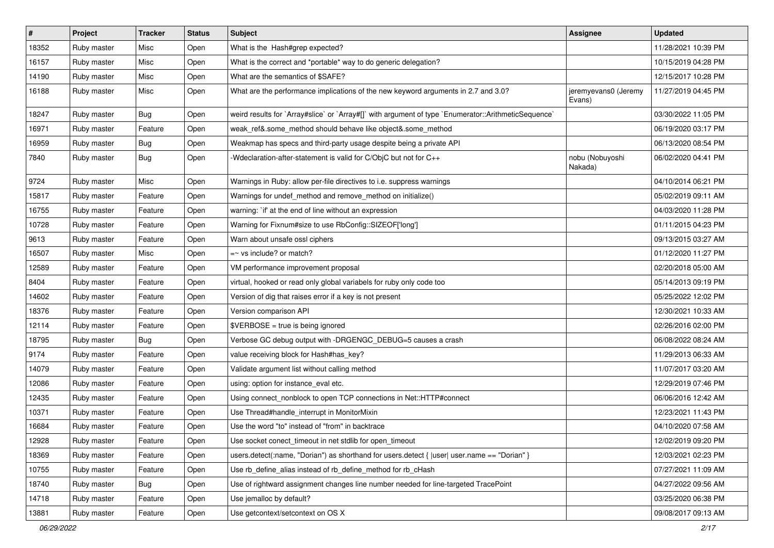| $\vert$ # | Project     | <b>Tracker</b> | <b>Status</b> | Subject                                                                                              | <b>Assignee</b>                | <b>Updated</b>      |
|-----------|-------------|----------------|---------------|------------------------------------------------------------------------------------------------------|--------------------------------|---------------------|
| 18352     | Ruby master | Misc           | Open          | What is the Hash#grep expected?                                                                      |                                | 11/28/2021 10:39 PM |
| 16157     | Ruby master | Misc           | Open          | What is the correct and *portable* way to do generic delegation?                                     |                                | 10/15/2019 04:28 PM |
| 14190     | Ruby master | Misc           | Open          | What are the semantics of \$SAFE?                                                                    |                                | 12/15/2017 10:28 PM |
| 16188     | Ruby master | Misc           | Open          | What are the performance implications of the new keyword arguments in 2.7 and 3.0?                   | jeremyevans0 (Jeremy<br>Evans) | 11/27/2019 04:45 PM |
| 18247     | Ruby master | Bug            | Open          | weird results for `Array#slice` or `Array#[]` with argument of type `Enumerator::ArithmeticSequence` |                                | 03/30/2022 11:05 PM |
| 16971     | Ruby master | Feature        | Open          | weak_ref&.some_method should behave like object&.some_method                                         |                                | 06/19/2020 03:17 PM |
| 16959     | Ruby master | <b>Bug</b>     | Open          | Weakmap has specs and third-party usage despite being a private API                                  |                                | 06/13/2020 08:54 PM |
| 7840      | Ruby master | <b>Bug</b>     | Open          | -Wdeclaration-after-statement is valid for C/ObjC but not for C++                                    | nobu (Nobuyoshi<br>Nakada)     | 06/02/2020 04:41 PM |
| 9724      | Ruby master | Misc           | Open          | Warnings in Ruby: allow per-file directives to i.e. suppress warnings                                |                                | 04/10/2014 06:21 PM |
| 15817     | Ruby master | Feature        | Open          | Warnings for undef_method and remove_method on initialize()                                          |                                | 05/02/2019 09:11 AM |
| 16755     | Ruby master | Feature        | Open          | warning: `if' at the end of line without an expression                                               |                                | 04/03/2020 11:28 PM |
| 10728     | Ruby master | Feature        | Open          | Warning for Fixnum#size to use RbConfig::SIZEOF['long']                                              |                                | 01/11/2015 04:23 PM |
| 9613      | Ruby master | Feature        | Open          | Warn about unsafe ossl ciphers                                                                       |                                | 09/13/2015 03:27 AM |
| 16507     | Ruby master | Misc           | Open          | $=$ vs include? or match?                                                                            |                                | 01/12/2020 11:27 PM |
| 12589     | Ruby master | Feature        | Open          | VM performance improvement proposal                                                                  |                                | 02/20/2018 05:00 AM |
| 8404      | Ruby master | Feature        | Open          | virtual, hooked or read only global variabels for ruby only code too                                 |                                | 05/14/2013 09:19 PM |
| 14602     | Ruby master | Feature        | Open          | Version of dig that raises error if a key is not present                                             |                                | 05/25/2022 12:02 PM |
| 18376     | Ruby master | Feature        | Open          | Version comparison API                                                                               |                                | 12/30/2021 10:33 AM |
| 12114     | Ruby master | Feature        | Open          | $\texttt{SVERBOSE}$ = true is being ignored                                                          |                                | 02/26/2016 02:00 PM |
| 18795     | Ruby master | <b>Bug</b>     | Open          | Verbose GC debug output with -DRGENGC_DEBUG=5 causes a crash                                         |                                | 06/08/2022 08:24 AM |
| 9174      | Ruby master | Feature        | Open          | value receiving block for Hash#has_key?                                                              |                                | 11/29/2013 06:33 AM |
| 14079     | Ruby master | Feature        | Open          | Validate argument list without calling method                                                        |                                | 11/07/2017 03:20 AM |
| 12086     | Ruby master | Feature        | Open          | using: option for instance_eval etc.                                                                 |                                | 12/29/2019 07:46 PM |
| 12435     | Ruby master | Feature        | Open          | Using connect_nonblock to open TCP connections in Net::HTTP#connect                                  |                                | 06/06/2016 12:42 AM |
| 10371     | Ruby master | Feature        | Open          | Use Thread#handle_interrupt in MonitorMixin                                                          |                                | 12/23/2021 11:43 PM |
| 16684     | Ruby master | Feature        | Open          | Use the word "to" instead of "from" in backtrace                                                     |                                | 04/10/2020 07:58 AM |
| 12928     | Ruby master | Feature        | Open          | Use socket conect_timeout in net stdlib for open_timeout                                             |                                | 12/02/2019 09:20 PM |
| 18369     | Ruby master | Feature        | Open          | users.detect(:name, "Dorian") as shorthand for users.detect {  user  user.name == "Dorian" }         |                                | 12/03/2021 02:23 PM |
| 10755     | Ruby master | Feature        | Open          | Use rb_define_alias instead of rb_define_method for rb_cHash                                         |                                | 07/27/2021 11:09 AM |
| 18740     | Ruby master | <b>Bug</b>     | Open          | Use of rightward assignment changes line number needed for line-targeted TracePoint                  |                                | 04/27/2022 09:56 AM |
| 14718     | Ruby master | Feature        | Open          | Use jemalloc by default?                                                                             |                                | 03/25/2020 06:38 PM |
| 13881     | Ruby master | Feature        | Open          | Use getcontext/setcontext on OS X                                                                    |                                | 09/08/2017 09:13 AM |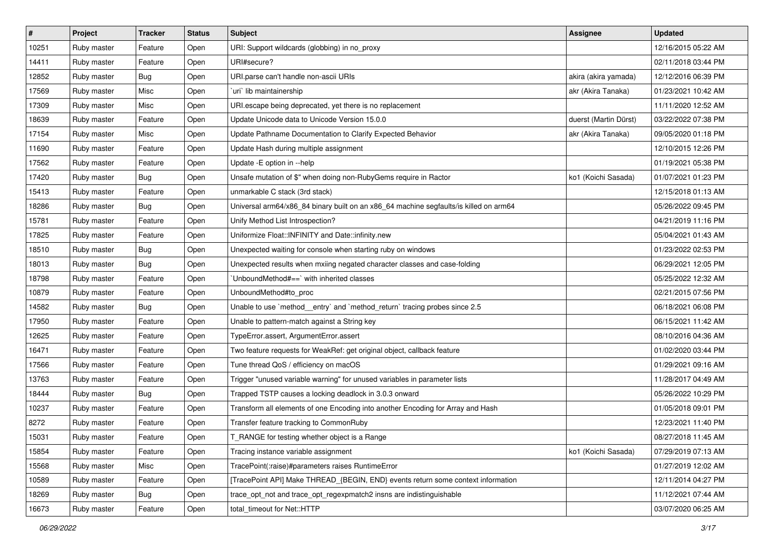| $\sharp$ | Project     | <b>Tracker</b> | <b>Status</b> | <b>Subject</b>                                                                        | <b>Assignee</b>       | <b>Updated</b>      |
|----------|-------------|----------------|---------------|---------------------------------------------------------------------------------------|-----------------------|---------------------|
| 10251    | Ruby master | Feature        | Open          | URI: Support wildcards (globbing) in no_proxy                                         |                       | 12/16/2015 05:22 AM |
| 14411    | Ruby master | Feature        | Open          | URI#secure?                                                                           |                       | 02/11/2018 03:44 PM |
| 12852    | Ruby master | <b>Bug</b>     | Open          | URI parse can't handle non-ascii URIs                                                 | akira (akira yamada)  | 12/12/2016 06:39 PM |
| 17569    | Ruby master | Misc           | Open          | uri lib maintainership                                                                | akr (Akira Tanaka)    | 01/23/2021 10:42 AM |
| 17309    | Ruby master | Misc           | Open          | URI escape being deprecated, yet there is no replacement                              |                       | 11/11/2020 12:52 AM |
| 18639    | Ruby master | Feature        | Open          | Update Unicode data to Unicode Version 15.0.0                                         | duerst (Martin Dürst) | 03/22/2022 07:38 PM |
| 17154    | Ruby master | Misc           | Open          | Update Pathname Documentation to Clarify Expected Behavior                            | akr (Akira Tanaka)    | 09/05/2020 01:18 PM |
| 11690    | Ruby master | Feature        | Open          | Update Hash during multiple assignment                                                |                       | 12/10/2015 12:26 PM |
| 17562    | Ruby master | Feature        | Open          | Update -E option in --help                                                            |                       | 01/19/2021 05:38 PM |
| 17420    | Ruby master | <b>Bug</b>     | Open          | Unsafe mutation of \$" when doing non-RubyGems require in Ractor                      | ko1 (Koichi Sasada)   | 01/07/2021 01:23 PM |
| 15413    | Ruby master | Feature        | Open          | unmarkable C stack (3rd stack)                                                        |                       | 12/15/2018 01:13 AM |
| 18286    | Ruby master | <b>Bug</b>     | Open          | Universal arm64/x86_84 binary built on an x86_64 machine segfaults/is killed on arm64 |                       | 05/26/2022 09:45 PM |
| 15781    | Ruby master | Feature        | Open          | Unify Method List Introspection?                                                      |                       | 04/21/2019 11:16 PM |
| 17825    | Ruby master | Feature        | Open          | Uniformize Float::INFINITY and Date::infinity.new                                     |                       | 05/04/2021 01:43 AM |
| 18510    | Ruby master | <b>Bug</b>     | Open          | Unexpected waiting for console when starting ruby on windows                          |                       | 01/23/2022 02:53 PM |
| 18013    | Ruby master | <b>Bug</b>     | Open          | Unexpected results when mxiing negated character classes and case-folding             |                       | 06/29/2021 12:05 PM |
| 18798    | Ruby master | Feature        | Open          | 'UnboundMethod#==' with inherited classes                                             |                       | 05/25/2022 12:32 AM |
| 10879    | Ruby master | Feature        | Open          | UnboundMethod#to_proc                                                                 |                       | 02/21/2015 07:56 PM |
| 14582    | Ruby master | <b>Bug</b>     | Open          | Unable to use `method_entry` and `method_return` tracing probes since 2.5             |                       | 06/18/2021 06:08 PM |
| 17950    | Ruby master | Feature        | Open          | Unable to pattern-match against a String key                                          |                       | 06/15/2021 11:42 AM |
| 12625    | Ruby master | Feature        | Open          | TypeError.assert, ArgumentError.assert                                                |                       | 08/10/2016 04:36 AM |
| 16471    | Ruby master | Feature        | Open          | Two feature requests for WeakRef: get original object, callback feature               |                       | 01/02/2020 03:44 PM |
| 17566    | Ruby master | Feature        | Open          | Tune thread QoS / efficiency on macOS                                                 |                       | 01/29/2021 09:16 AM |
| 13763    | Ruby master | Feature        | Open          | Trigger "unused variable warning" for unused variables in parameter lists             |                       | 11/28/2017 04:49 AM |
| 18444    | Ruby master | <b>Bug</b>     | Open          | Trapped TSTP causes a locking deadlock in 3.0.3 onward                                |                       | 05/26/2022 10:29 PM |
| 10237    | Ruby master | Feature        | Open          | Transform all elements of one Encoding into another Encoding for Array and Hash       |                       | 01/05/2018 09:01 PM |
| 8272     | Ruby master | Feature        | Open          | Transfer feature tracking to CommonRuby                                               |                       | 12/23/2021 11:40 PM |
| 15031    | Ruby master | Feature        | Open          | T_RANGE for testing whether object is a Range                                         |                       | 08/27/2018 11:45 AM |
| 15854    | Ruby master | Feature        | Open          | Tracing instance variable assignment                                                  | ko1 (Koichi Sasada)   | 07/29/2019 07:13 AM |
| 15568    | Ruby master | Misc           | Open          | TracePoint(:raise)#parameters raises RuntimeError                                     |                       | 01/27/2019 12:02 AM |
| 10589    | Ruby master | Feature        | Open          | [TracePoint API] Make THREAD_{BEGIN, END} events return some context information      |                       | 12/11/2014 04:27 PM |
| 18269    | Ruby master | <b>Bug</b>     | Open          | trace opt not and trace opt regexpmatch2 insns are indistinguishable                  |                       | 11/12/2021 07:44 AM |
| 16673    | Ruby master | Feature        | Open          | total_timeout for Net::HTTP                                                           |                       | 03/07/2020 06:25 AM |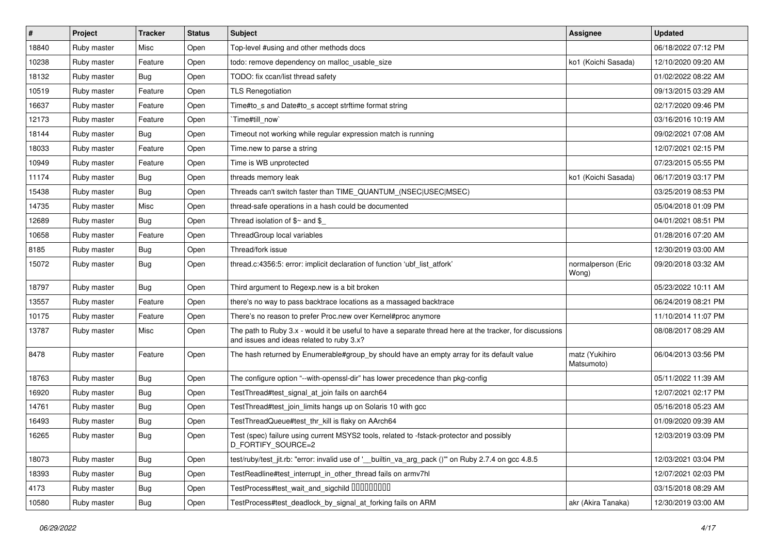| $\vert$ # | Project     | <b>Tracker</b> | <b>Status</b> | Subject                                                                                                                                               | Assignee                     | <b>Updated</b>      |
|-----------|-------------|----------------|---------------|-------------------------------------------------------------------------------------------------------------------------------------------------------|------------------------------|---------------------|
| 18840     | Ruby master | Misc           | Open          | Top-level #using and other methods docs                                                                                                               |                              | 06/18/2022 07:12 PM |
| 10238     | Ruby master | Feature        | Open          | todo: remove dependency on malloc_usable_size                                                                                                         | ko1 (Koichi Sasada)          | 12/10/2020 09:20 AM |
| 18132     | Ruby master | <b>Bug</b>     | Open          | TODO: fix ccan/list thread safety                                                                                                                     |                              | 01/02/2022 08:22 AM |
| 10519     | Ruby master | Feature        | Open          | <b>TLS Renegotiation</b>                                                                                                                              |                              | 09/13/2015 03:29 AM |
| 16637     | Ruby master | Feature        | Open          | Time#to_s and Date#to_s accept strftime format string                                                                                                 |                              | 02/17/2020 09:46 PM |
| 12173     | Ruby master | Feature        | Open          | Time#till_now`                                                                                                                                        |                              | 03/16/2016 10:19 AM |
| 18144     | Ruby master | <b>Bug</b>     | Open          | Timeout not working while regular expression match is running                                                                                         |                              | 09/02/2021 07:08 AM |
| 18033     | Ruby master | Feature        | Open          | Time.new to parse a string                                                                                                                            |                              | 12/07/2021 02:15 PM |
| 10949     | Ruby master | Feature        | Open          | Time is WB unprotected                                                                                                                                |                              | 07/23/2015 05:55 PM |
| 11174     | Ruby master | <b>Bug</b>     | Open          | threads memory leak                                                                                                                                   | ko1 (Koichi Sasada)          | 06/17/2019 03:17 PM |
| 15438     | Ruby master | <b>Bug</b>     | Open          | Threads can't switch faster than TIME_QUANTUM_(NSEC USEC MSEC)                                                                                        |                              | 03/25/2019 08:53 PM |
| 14735     | Ruby master | Misc           | Open          | thread-safe operations in a hash could be documented                                                                                                  |                              | 05/04/2018 01:09 PM |
| 12689     | Ruby master | <b>Bug</b>     | Open          | Thread isolation of $$~$ and \$                                                                                                                       |                              | 04/01/2021 08:51 PM |
| 10658     | Ruby master | Feature        | Open          | ThreadGroup local variables                                                                                                                           |                              | 01/28/2016 07:20 AM |
| 8185      | Ruby master | <b>Bug</b>     | Open          | Thread/fork issue                                                                                                                                     |                              | 12/30/2019 03:00 AM |
| 15072     | Ruby master | <b>Bug</b>     | Open          | thread.c:4356:5: error: implicit declaration of function 'ubf_list_atfork'                                                                            | normalperson (Eric<br>Wong)  | 09/20/2018 03:32 AM |
| 18797     | Ruby master | <b>Bug</b>     | Open          | Third argument to Regexp.new is a bit broken                                                                                                          |                              | 05/23/2022 10:11 AM |
| 13557     | Ruby master | Feature        | Open          | there's no way to pass backtrace locations as a massaged backtrace                                                                                    |                              | 06/24/2019 08:21 PM |
| 10175     | Ruby master | Feature        | Open          | There's no reason to prefer Proc.new over Kernel#proc anymore                                                                                         |                              | 11/10/2014 11:07 PM |
| 13787     | Ruby master | Misc           | Open          | The path to Ruby 3.x - would it be useful to have a separate thread here at the tracker, for discussions<br>and issues and ideas related to ruby 3.x? |                              | 08/08/2017 08:29 AM |
| 8478      | Ruby master | Feature        | Open          | The hash returned by Enumerable#group_by should have an empty array for its default value                                                             | matz (Yukihiro<br>Matsumoto) | 06/04/2013 03:56 PM |
| 18763     | Ruby master | <b>Bug</b>     | Open          | The configure option "--with-openssl-dir" has lower precedence than pkg-config                                                                        |                              | 05/11/2022 11:39 AM |
| 16920     | Ruby master | <b>Bug</b>     | Open          | TestThread#test_signal_at_join fails on aarch64                                                                                                       |                              | 12/07/2021 02:17 PM |
| 14761     | Ruby master | <b>Bug</b>     | Open          | TestThread#test_join_limits hangs up on Solaris 10 with gcc                                                                                           |                              | 05/16/2018 05:23 AM |
| 16493     | Ruby master | <b>Bug</b>     | Open          | TestThreadQueue#test_thr_kill is flaky on AArch64                                                                                                     |                              | 01/09/2020 09:39 AM |
| 16265     | Ruby master | Bug            | Open          | Test (spec) failure using current MSYS2 tools, related to -fstack-protector and possibly<br>D_FORTIFY_SOURCE=2                                        |                              | 12/03/2019 03:09 PM |
| 18073     | Ruby master | <b>Bug</b>     | Open          | test/ruby/test_jit.rb: "error: invalid use of '_ builtin_va_arg_pack ()"" on Ruby 2.7.4 on gcc 4.8.5                                                  |                              | 12/03/2021 03:04 PM |
| 18393     | Ruby master | <b>Bug</b>     | Open          | TestReadline#test_interrupt_in_other_thread fails on armv7hl                                                                                          |                              | 12/07/2021 02:03 PM |
| 4173      | Ruby master | <b>Bug</b>     | Open          | TestProcess#test_wait_and_sigchild DDDDDDDD                                                                                                           |                              | 03/15/2018 08:29 AM |
| 10580     | Ruby master | <b>Bug</b>     | Open          | TestProcess#test_deadlock_by_signal_at_forking fails on ARM                                                                                           | akr (Akira Tanaka)           | 12/30/2019 03:00 AM |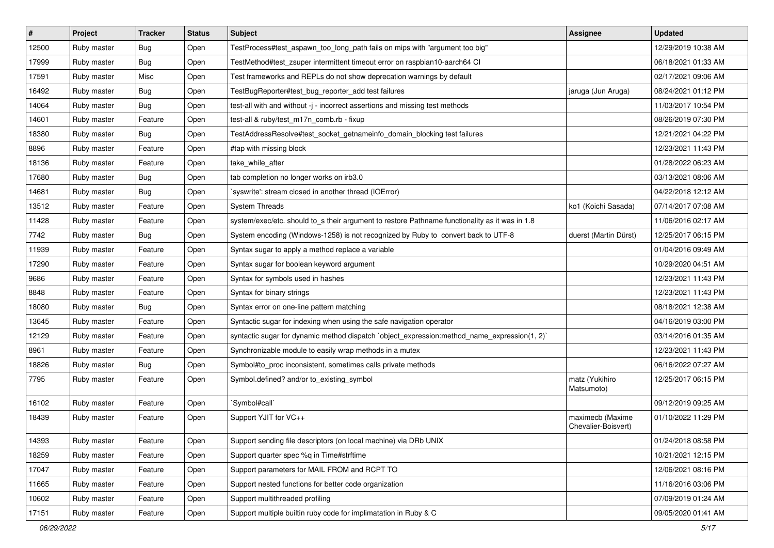| $\vert$ # | Project     | <b>Tracker</b> | <b>Status</b> | Subject                                                                                        | <b>Assignee</b>                         | <b>Updated</b>      |
|-----------|-------------|----------------|---------------|------------------------------------------------------------------------------------------------|-----------------------------------------|---------------------|
| 12500     | Ruby master | Bug            | Open          | TestProcess#test aspawn too long path fails on mips with "argument too big"                    |                                         | 12/29/2019 10:38 AM |
| 17999     | Ruby master | Bug            | Open          | TestMethod#test_zsuper intermittent timeout error on raspbian10-aarch64 Cl                     |                                         | 06/18/2021 01:33 AM |
| 17591     | Ruby master | Misc           | Open          | Test frameworks and REPLs do not show deprecation warnings by default                          |                                         | 02/17/2021 09:06 AM |
| 16492     | Ruby master | Bug            | Open          | TestBugReporter#test_bug_reporter_add test failures                                            | jaruga (Jun Aruga)                      | 08/24/2021 01:12 PM |
| 14064     | Ruby master | <b>Bug</b>     | Open          | test-all with and without -j - incorrect assertions and missing test methods                   |                                         | 11/03/2017 10:54 PM |
| 14601     | Ruby master | Feature        | Open          | test-all & ruby/test_m17n_comb.rb - fixup                                                      |                                         | 08/26/2019 07:30 PM |
| 18380     | Ruby master | Bug            | Open          | TestAddressResolve#test_socket_getnameinfo_domain_blocking test failures                       |                                         | 12/21/2021 04:22 PM |
| 8896      | Ruby master | Feature        | Open          | #tap with missing block                                                                        |                                         | 12/23/2021 11:43 PM |
| 18136     | Ruby master | Feature        | Open          | take_while_after                                                                               |                                         | 01/28/2022 06:23 AM |
| 17680     | Ruby master | Bug            | Open          | tab completion no longer works on irb3.0                                                       |                                         | 03/13/2021 08:06 AM |
| 14681     | Ruby master | Bug            | Open          | syswrite': stream closed in another thread (IOError)                                           |                                         | 04/22/2018 12:12 AM |
| 13512     | Ruby master | Feature        | Open          | <b>System Threads</b>                                                                          | ko1 (Koichi Sasada)                     | 07/14/2017 07:08 AM |
| 11428     | Ruby master | Feature        | Open          | system/exec/etc. should to s their argument to restore Pathname functionality as it was in 1.8 |                                         | 11/06/2016 02:17 AM |
| 7742      | Ruby master | Bug            | Open          | System encoding (Windows-1258) is not recognized by Ruby to convert back to UTF-8              | duerst (Martin Dürst)                   | 12/25/2017 06:15 PM |
| 11939     | Ruby master | Feature        | Open          | Syntax sugar to apply a method replace a variable                                              |                                         | 01/04/2016 09:49 AM |
| 17290     | Ruby master | Feature        | Open          | Syntax sugar for boolean keyword argument                                                      |                                         | 10/29/2020 04:51 AM |
| 9686      | Ruby master | Feature        | Open          | Syntax for symbols used in hashes                                                              |                                         | 12/23/2021 11:43 PM |
| 8848      | Ruby master | Feature        | Open          | Syntax for binary strings                                                                      |                                         | 12/23/2021 11:43 PM |
| 18080     | Ruby master | Bug            | Open          | Syntax error on one-line pattern matching                                                      |                                         | 08/18/2021 12:38 AM |
| 13645     | Ruby master | Feature        | Open          | Syntactic sugar for indexing when using the safe navigation operator                           |                                         | 04/16/2019 03:00 PM |
| 12129     | Ruby master | Feature        | Open          | syntactic sugar for dynamic method dispatch `object_expression:method_name_expression(1, 2)`   |                                         | 03/14/2016 01:35 AM |
| 8961      | Ruby master | Feature        | Open          | Synchronizable module to easily wrap methods in a mutex                                        |                                         | 12/23/2021 11:43 PM |
| 18826     | Ruby master | Bug            | Open          | Symbol#to_proc inconsistent, sometimes calls private methods                                   |                                         | 06/16/2022 07:27 AM |
| 7795      | Ruby master | Feature        | Open          | Symbol.defined? and/or to_existing_symbol                                                      | matz (Yukihiro<br>Matsumoto)            | 12/25/2017 06:15 PM |
| 16102     | Ruby master | Feature        | Open          | 'Symbol#call'                                                                                  |                                         | 09/12/2019 09:25 AM |
| 18439     | Ruby master | Feature        | Open          | Support YJIT for VC++                                                                          | maximecb (Maxime<br>Chevalier-Boisvert) | 01/10/2022 11:29 PM |
| 14393     | Ruby master | Feature        | Open          | Support sending file descriptors (on local machine) via DRb UNIX                               |                                         | 01/24/2018 08:58 PM |
| 18259     | Ruby master | Feature        | Open          | Support quarter spec %q in Time#strftime                                                       |                                         | 10/21/2021 12:15 PM |
| 17047     | Ruby master | Feature        | Open          | Support parameters for MAIL FROM and RCPT TO                                                   |                                         | 12/06/2021 08:16 PM |
| 11665     | Ruby master | Feature        | Open          | Support nested functions for better code organization                                          |                                         | 11/16/2016 03:06 PM |
| 10602     | Ruby master | Feature        | Open          | Support multithreaded profiling                                                                |                                         | 07/09/2019 01:24 AM |
| 17151     | Ruby master | Feature        | Open          | Support multiple builtin ruby code for implimatation in Ruby & C                               |                                         | 09/05/2020 01:41 AM |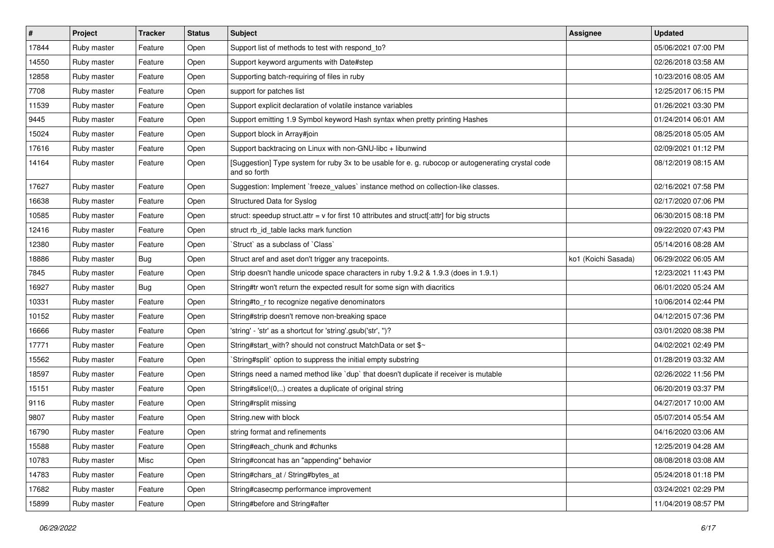| $\vert$ # | Project     | Tracker    | <b>Status</b> | <b>Subject</b>                                                                                                     | <b>Assignee</b>     | <b>Updated</b>      |
|-----------|-------------|------------|---------------|--------------------------------------------------------------------------------------------------------------------|---------------------|---------------------|
| 17844     | Ruby master | Feature    | Open          | Support list of methods to test with respond_to?                                                                   |                     | 05/06/2021 07:00 PM |
| 14550     | Ruby master | Feature    | Open          | Support keyword arguments with Date#step                                                                           |                     | 02/26/2018 03:58 AM |
| 12858     | Ruby master | Feature    | Open          | Supporting batch-requiring of files in ruby                                                                        |                     | 10/23/2016 08:05 AM |
| 7708      | Ruby master | Feature    | Open          | support for patches list                                                                                           |                     | 12/25/2017 06:15 PM |
| 11539     | Ruby master | Feature    | Open          | Support explicit declaration of volatile instance variables                                                        |                     | 01/26/2021 03:30 PM |
| 9445      | Ruby master | Feature    | Open          | Support emitting 1.9 Symbol keyword Hash syntax when pretty printing Hashes                                        |                     | 01/24/2014 06:01 AM |
| 15024     | Ruby master | Feature    | Open          | Support block in Array#join                                                                                        |                     | 08/25/2018 05:05 AM |
| 17616     | Ruby master | Feature    | Open          | Support backtracing on Linux with non-GNU-libc + libunwind                                                         |                     | 02/09/2021 01:12 PM |
| 14164     | Ruby master | Feature    | Open          | [Suggestion] Type system for ruby 3x to be usable for e. g. rubocop or autogenerating crystal code<br>and so forth |                     | 08/12/2019 08:15 AM |
| 17627     | Ruby master | Feature    | Open          | Suggestion: Implement `freeze_values` instance method on collection-like classes.                                  |                     | 02/16/2021 07:58 PM |
| 16638     | Ruby master | Feature    | Open          | Structured Data for Syslog                                                                                         |                     | 02/17/2020 07:06 PM |
| 10585     | Ruby master | Feature    | Open          | struct: speedup struct.attr = v for first 10 attributes and struct[:attr] for big structs                          |                     | 06/30/2015 08:18 PM |
| 12416     | Ruby master | Feature    | Open          | struct rb_id_table lacks mark function                                                                             |                     | 09/22/2020 07:43 PM |
| 12380     | Ruby master | Feature    | Open          | Struct` as a subclass of `Class`                                                                                   |                     | 05/14/2016 08:28 AM |
| 18886     | Ruby master | <b>Bug</b> | Open          | Struct aref and aset don't trigger any tracepoints.                                                                | ko1 (Koichi Sasada) | 06/29/2022 06:05 AM |
| 7845      | Ruby master | Feature    | Open          | Strip doesn't handle unicode space characters in ruby 1.9.2 & 1.9.3 (does in 1.9.1)                                |                     | 12/23/2021 11:43 PM |
| 16927     | Ruby master | <b>Bug</b> | Open          | String#tr won't return the expected result for some sign with diacritics                                           |                     | 06/01/2020 05:24 AM |
| 10331     | Ruby master | Feature    | Open          | String#to_r to recognize negative denominators                                                                     |                     | 10/06/2014 02:44 PM |
| 10152     | Ruby master | Feature    | Open          | String#strip doesn't remove non-breaking space                                                                     |                     | 04/12/2015 07:36 PM |
| 16666     | Ruby master | Feature    | Open          | 'string' - 'str' as a shortcut for 'string'.gsub('str', ")?                                                        |                     | 03/01/2020 08:38 PM |
| 17771     | Ruby master | Feature    | Open          | String#start_with? should not construct MatchData or set \$~                                                       |                     | 04/02/2021 02:49 PM |
| 15562     | Ruby master | Feature    | Open          | String#split` option to suppress the initial empty substring                                                       |                     | 01/28/2019 03:32 AM |
| 18597     | Ruby master | Feature    | Open          | Strings need a named method like 'dup' that doesn't duplicate if receiver is mutable                               |                     | 02/26/2022 11:56 PM |
| 15151     | Ruby master | Feature    | Open          | String#slice!(0,) creates a duplicate of original string                                                           |                     | 06/20/2019 03:37 PM |
| 9116      | Ruby master | Feature    | Open          | String#rsplit missing                                                                                              |                     | 04/27/2017 10:00 AM |
| 9807      | Ruby master | Feature    | Open          | String.new with block                                                                                              |                     | 05/07/2014 05:54 AM |
| 16790     | Ruby master | Feature    | Open          | string format and refinements                                                                                      |                     | 04/16/2020 03:06 AM |
| 15588     | Ruby master | Feature    | Open          | String#each_chunk and #chunks                                                                                      |                     | 12/25/2019 04:28 AM |
| 10783     | Ruby master | Misc       | Open          | String#concat has an "appending" behavior                                                                          |                     | 08/08/2018 03:08 AM |
| 14783     | Ruby master | Feature    | Open          | String#chars_at / String#bytes_at                                                                                  |                     | 05/24/2018 01:18 PM |
| 17682     | Ruby master | Feature    | Open          | String#casecmp performance improvement                                                                             |                     | 03/24/2021 02:29 PM |
| 15899     | Ruby master | Feature    | Open          | String#before and String#after                                                                                     |                     | 11/04/2019 08:57 PM |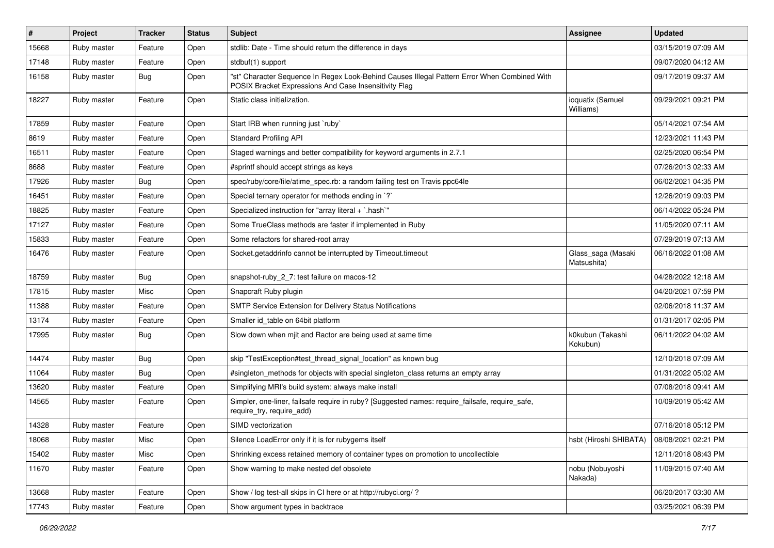| #     | Project     | <b>Tracker</b> | <b>Status</b> | <b>Subject</b>                                                                                                                                        | <b>Assignee</b>                   | <b>Updated</b>      |
|-------|-------------|----------------|---------------|-------------------------------------------------------------------------------------------------------------------------------------------------------|-----------------------------------|---------------------|
| 15668 | Ruby master | Feature        | Open          | stdlib: Date - Time should return the difference in days                                                                                              |                                   | 03/15/2019 07:09 AM |
| 17148 | Ruby master | Feature        | Open          | stdbuf(1) support                                                                                                                                     |                                   | 09/07/2020 04:12 AM |
| 16158 | Ruby master | <b>Bug</b>     | Open          | "st" Character Sequence In Regex Look-Behind Causes Illegal Pattern Error When Combined With<br>POSIX Bracket Expressions And Case Insensitivity Flag |                                   | 09/17/2019 09:37 AM |
| 18227 | Ruby master | Feature        | Open          | Static class initialization.                                                                                                                          | ioquatix (Samuel<br>Williams)     | 09/29/2021 09:21 PM |
| 17859 | Ruby master | Feature        | Open          | Start IRB when running just `ruby`                                                                                                                    |                                   | 05/14/2021 07:54 AM |
| 8619  | Ruby master | Feature        | Open          | <b>Standard Profiling API</b>                                                                                                                         |                                   | 12/23/2021 11:43 PM |
| 16511 | Ruby master | Feature        | Open          | Staged warnings and better compatibility for keyword arguments in 2.7.1                                                                               |                                   | 02/25/2020 06:54 PM |
| 8688  | Ruby master | Feature        | Open          | #sprintf should accept strings as keys                                                                                                                |                                   | 07/26/2013 02:33 AM |
| 17926 | Ruby master | <b>Bug</b>     | Open          | spec/ruby/core/file/atime_spec.rb: a random failing test on Travis ppc64le                                                                            |                                   | 06/02/2021 04:35 PM |
| 16451 | Ruby master | Feature        | Open          | Special ternary operator for methods ending in `?`                                                                                                    |                                   | 12/26/2019 09:03 PM |
| 18825 | Ruby master | Feature        | Open          | Specialized instruction for "array literal + `.hash`"                                                                                                 |                                   | 06/14/2022 05:24 PM |
| 17127 | Ruby master | Feature        | Open          | Some TrueClass methods are faster if implemented in Ruby                                                                                              |                                   | 11/05/2020 07:11 AM |
| 15833 | Ruby master | Feature        | Open          | Some refactors for shared-root array                                                                                                                  |                                   | 07/29/2019 07:13 AM |
| 16476 | Ruby master | Feature        | Open          | Socket.getaddrinfo cannot be interrupted by Timeout.timeout                                                                                           | Glass_saga (Masaki<br>Matsushita) | 06/16/2022 01:08 AM |
| 18759 | Ruby master | Bug            | Open          | snapshot-ruby_2_7: test failure on macos-12                                                                                                           |                                   | 04/28/2022 12:18 AM |
| 17815 | Ruby master | Misc           | Open          | Snapcraft Ruby plugin                                                                                                                                 |                                   | 04/20/2021 07:59 PM |
| 11388 | Ruby master | Feature        | Open          | SMTP Service Extension for Delivery Status Notifications                                                                                              |                                   | 02/06/2018 11:37 AM |
| 13174 | Ruby master | Feature        | Open          | Smaller id_table on 64bit platform                                                                                                                    |                                   | 01/31/2017 02:05 PM |
| 17995 | Ruby master | <b>Bug</b>     | Open          | Slow down when mjit and Ractor are being used at same time                                                                                            | k0kubun (Takashi<br>Kokubun)      | 06/11/2022 04:02 AM |
| 14474 | Ruby master | <b>Bug</b>     | Open          | skip "TestException#test_thread_signal_location" as known bug                                                                                         |                                   | 12/10/2018 07:09 AM |
| 11064 | Ruby master | Bug            | Open          | #singleton_methods for objects with special singleton_class returns an empty array                                                                    |                                   | 01/31/2022 05:02 AM |
| 13620 | Ruby master | Feature        | Open          | Simplifying MRI's build system: always make install                                                                                                   |                                   | 07/08/2018 09:41 AM |
| 14565 | Ruby master | Feature        | Open          | Simpler, one-liner, failsafe require in ruby? [Suggested names: require_failsafe, require_safe,<br>require_try, require_add)                          |                                   | 10/09/2019 05:42 AM |
| 14328 | Ruby master | Feature        | Open          | SIMD vectorization                                                                                                                                    |                                   | 07/16/2018 05:12 PM |
| 18068 | Ruby master | Misc           | Open          | Silence LoadError only if it is for rubygems itself                                                                                                   | hsbt (Hiroshi SHIBATA)            | 08/08/2021 02:21 PM |
| 15402 | Ruby master | Misc           | Open          | Shrinking excess retained memory of container types on promotion to uncollectible                                                                     |                                   | 12/11/2018 08:43 PM |
| 11670 | Ruby master | Feature        | Open          | Show warning to make nested def obsolete                                                                                                              | nobu (Nobuyoshi<br>Nakada)        | 11/09/2015 07:40 AM |
| 13668 | Ruby master | Feature        | Open          | Show / log test-all skips in CI here or at http://rubyci.org/ ?                                                                                       |                                   | 06/20/2017 03:30 AM |
| 17743 | Ruby master | Feature        | Open          | Show argument types in backtrace                                                                                                                      |                                   | 03/25/2021 06:39 PM |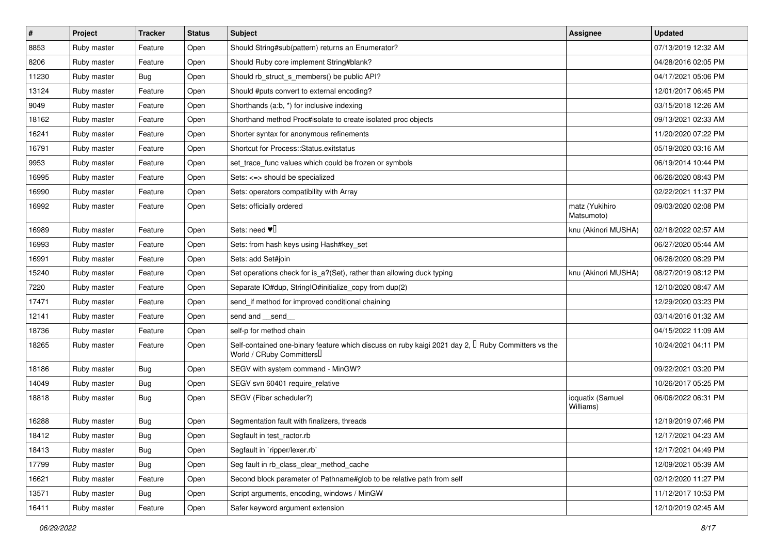| $\sharp$ | Project     | <b>Tracker</b> | <b>Status</b> | <b>Subject</b>                                                                                                                      | Assignee                      | <b>Updated</b>      |
|----------|-------------|----------------|---------------|-------------------------------------------------------------------------------------------------------------------------------------|-------------------------------|---------------------|
| 8853     | Ruby master | Feature        | Open          | Should String#sub(pattern) returns an Enumerator?                                                                                   |                               | 07/13/2019 12:32 AM |
| 8206     | Ruby master | Feature        | Open          | Should Ruby core implement String#blank?                                                                                            |                               | 04/28/2016 02:05 PM |
| 11230    | Ruby master | Bug            | Open          | Should rb struct s members() be public API?                                                                                         |                               | 04/17/2021 05:06 PM |
| 13124    | Ruby master | Feature        | Open          | Should #puts convert to external encoding?                                                                                          |                               | 12/01/2017 06:45 PM |
| 9049     | Ruby master | Feature        | Open          | Shorthands (a:b, *) for inclusive indexing                                                                                          |                               | 03/15/2018 12:26 AM |
| 18162    | Ruby master | Feature        | Open          | Shorthand method Proc#isolate to create isolated proc objects                                                                       |                               | 09/13/2021 02:33 AM |
| 16241    | Ruby master | Feature        | Open          | Shorter syntax for anonymous refinements                                                                                            |                               | 11/20/2020 07:22 PM |
| 16791    | Ruby master | Feature        | Open          | Shortcut for Process::Status.exitstatus                                                                                             |                               | 05/19/2020 03:16 AM |
| 9953     | Ruby master | Feature        | Open          | set_trace_func values which could be frozen or symbols                                                                              |                               | 06/19/2014 10:44 PM |
| 16995    | Ruby master | Feature        | Open          | Sets: <=> should be specialized                                                                                                     |                               | 06/26/2020 08:43 PM |
| 16990    | Ruby master | Feature        | Open          | Sets: operators compatibility with Array                                                                                            |                               | 02/22/2021 11:37 PM |
| 16992    | Ruby master | Feature        | Open          | Sets: officially ordered                                                                                                            | matz (Yukihiro<br>Matsumoto)  | 09/03/2020 02:08 PM |
| 16989    | Ruby master | Feature        | Open          | Sets: need $\Psi$                                                                                                                   | knu (Akinori MUSHA)           | 02/18/2022 02:57 AM |
| 16993    | Ruby master | Feature        | Open          | Sets: from hash keys using Hash#key_set                                                                                             |                               | 06/27/2020 05:44 AM |
| 16991    | Ruby master | Feature        | Open          | Sets: add Set#join                                                                                                                  |                               | 06/26/2020 08:29 PM |
| 15240    | Ruby master | Feature        | Open          | Set operations check for is_a?(Set), rather than allowing duck typing                                                               | knu (Akinori MUSHA)           | 08/27/2019 08:12 PM |
| 7220     | Ruby master | Feature        | Open          | Separate IO#dup, StringIO#initialize_copy from dup(2)                                                                               |                               | 12/10/2020 08:47 AM |
| 17471    | Ruby master | Feature        | Open          | send if method for improved conditional chaining                                                                                    |                               | 12/29/2020 03:23 PM |
| 12141    | Ruby master | Feature        | Open          | send and __send_                                                                                                                    |                               | 03/14/2016 01:32 AM |
| 18736    | Ruby master | Feature        | Open          | self-p for method chain                                                                                                             |                               | 04/15/2022 11:09 AM |
| 18265    | Ruby master | Feature        | Open          | Self-contained one-binary feature which discuss on ruby kaigi 2021 day 2, $\Box$ Ruby Committers vs the<br>World / CRuby Committers |                               | 10/24/2021 04:11 PM |
| 18186    | Ruby master | Bug            | Open          | SEGV with system command - MinGW?                                                                                                   |                               | 09/22/2021 03:20 PM |
| 14049    | Ruby master | Bug            | Open          | SEGV svn 60401 require_relative                                                                                                     |                               | 10/26/2017 05:25 PM |
| 18818    | Ruby master | Bug            | Open          | SEGV (Fiber scheduler?)                                                                                                             | ioquatix (Samuel<br>Williams) | 06/06/2022 06:31 PM |
| 16288    | Ruby master | Bug            | Open          | Segmentation fault with finalizers, threads                                                                                         |                               | 12/19/2019 07:46 PM |
| 18412    | Ruby master | Bug            | Open          | Segfault in test_ractor.rb                                                                                                          |                               | 12/17/2021 04:23 AM |
| 18413    | Ruby master | Bug            | Open          | Segfault in `ripper/lexer.rb`                                                                                                       |                               | 12/17/2021 04:49 PM |
| 17799    | Ruby master | <b>Bug</b>     | Open          | Seg fault in rb class clear method cache                                                                                            |                               | 12/09/2021 05:39 AM |
| 16621    | Ruby master | Feature        | Open          | Second block parameter of Pathname#glob to be relative path from self                                                               |                               | 02/12/2020 11:27 PM |
| 13571    | Ruby master | Bug            | Open          | Script arguments, encoding, windows / MinGW                                                                                         |                               | 11/12/2017 10:53 PM |
| 16411    | Ruby master | Feature        | Open          | Safer keyword argument extension                                                                                                    |                               | 12/10/2019 02:45 AM |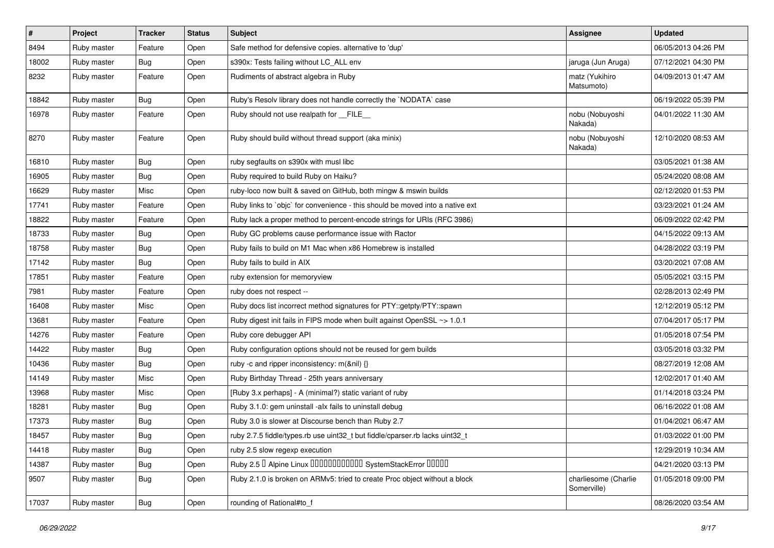| $\vert$ # | Project     | <b>Tracker</b> | <b>Status</b> | <b>Subject</b>                                                                | <b>Assignee</b>                     | <b>Updated</b>      |
|-----------|-------------|----------------|---------------|-------------------------------------------------------------------------------|-------------------------------------|---------------------|
| 8494      | Ruby master | Feature        | Open          | Safe method for defensive copies. alternative to 'dup'                        |                                     | 06/05/2013 04:26 PM |
| 18002     | Ruby master | <b>Bug</b>     | Open          | s390x: Tests failing without LC_ALL env                                       | jaruga (Jun Aruga)                  | 07/12/2021 04:30 PM |
| 8232      | Ruby master | Feature        | Open          | Rudiments of abstract algebra in Ruby                                         | matz (Yukihiro<br>Matsumoto)        | 04/09/2013 01:47 AM |
| 18842     | Ruby master | <b>Bug</b>     | Open          | Ruby's Resolv library does not handle correctly the `NODATA` case             |                                     | 06/19/2022 05:39 PM |
| 16978     | Ruby master | Feature        | Open          | Ruby should not use realpath for FILE                                         | nobu (Nobuyoshi<br>Nakada)          | 04/01/2022 11:30 AM |
| 8270      | Ruby master | Feature        | Open          | Ruby should build without thread support (aka minix)                          | nobu (Nobuyoshi<br>Nakada)          | 12/10/2020 08:53 AM |
| 16810     | Ruby master | <b>Bug</b>     | Open          | ruby segfaults on s390x with musl libc                                        |                                     | 03/05/2021 01:38 AM |
| 16905     | Ruby master | <b>Bug</b>     | Open          | Ruby required to build Ruby on Haiku?                                         |                                     | 05/24/2020 08:08 AM |
| 16629     | Ruby master | Misc           | Open          | ruby-loco now built & saved on GitHub, both mingw & mswin builds              |                                     | 02/12/2020 01:53 PM |
| 17741     | Ruby master | Feature        | Open          | Ruby links to `objc` for convenience - this should be moved into a native ext |                                     | 03/23/2021 01:24 AM |
| 18822     | Ruby master | Feature        | Open          | Ruby lack a proper method to percent-encode strings for URIs (RFC 3986)       |                                     | 06/09/2022 02:42 PM |
| 18733     | Ruby master | <b>Bug</b>     | Open          | Ruby GC problems cause performance issue with Ractor                          |                                     | 04/15/2022 09:13 AM |
| 18758     | Ruby master | <b>Bug</b>     | Open          | Ruby fails to build on M1 Mac when x86 Homebrew is installed                  |                                     | 04/28/2022 03:19 PM |
| 17142     | Ruby master | <b>Bug</b>     | Open          | Ruby fails to build in AIX                                                    |                                     | 03/20/2021 07:08 AM |
| 17851     | Ruby master | Feature        | Open          | ruby extension for memoryview                                                 |                                     | 05/05/2021 03:15 PM |
| 7981      | Ruby master | Feature        | Open          | ruby does not respect --                                                      |                                     | 02/28/2013 02:49 PM |
| 16408     | Ruby master | Misc           | Open          | Ruby docs list incorrect method signatures for PTY::getpty/PTY::spawn         |                                     | 12/12/2019 05:12 PM |
| 13681     | Ruby master | Feature        | Open          | Ruby digest init fails in FIPS mode when built against OpenSSL ~> 1.0.1       |                                     | 07/04/2017 05:17 PM |
| 14276     | Ruby master | Feature        | Open          | Ruby core debugger API                                                        |                                     | 01/05/2018 07:54 PM |
| 14422     | Ruby master | <b>Bug</b>     | Open          | Ruby configuration options should not be reused for gem builds                |                                     | 03/05/2018 03:32 PM |
| 10436     | Ruby master | <b>Bug</b>     | Open          | ruby -c and ripper inconsistency: m(&nil) {}                                  |                                     | 08/27/2019 12:08 AM |
| 14149     | Ruby master | Misc           | Open          | Ruby Birthday Thread - 25th years anniversary                                 |                                     | 12/02/2017 01:40 AM |
| 13968     | Ruby master | Misc           | Open          | [Ruby 3.x perhaps] - A (minimal?) static variant of ruby                      |                                     | 01/14/2018 03:24 PM |
| 18281     | Ruby master | <b>Bug</b>     | Open          | Ruby 3.1.0: gem uninstall -alx fails to uninstall debug                       |                                     | 06/16/2022 01:08 AM |
| 17373     | Ruby master | <b>Bug</b>     | Open          | Ruby 3.0 is slower at Discourse bench than Ruby 2.7                           |                                     | 01/04/2021 06:47 AM |
| 18457     | Ruby master | Bug            | Open          | ruby 2.7.5 fiddle/types.rb use uint32_t but fiddle/cparser.rb lacks uint32_t  |                                     | 01/03/2022 01:00 PM |
| 14418     | Ruby master | <b>Bug</b>     | Open          | ruby 2.5 slow regexp execution                                                |                                     | 12/29/2019 10:34 AM |
| 14387     | Ruby master | <b>Bug</b>     | Open          | Ruby 2.5   Alpine Linux   000000000000 SystemStackError   00000               |                                     | 04/21/2020 03:13 PM |
| 9507      | Ruby master | <b>Bug</b>     | Open          | Ruby 2.1.0 is broken on ARMv5: tried to create Proc object without a block    | charliesome (Charlie<br>Somerville) | 01/05/2018 09:00 PM |
| 17037     | Ruby master | <b>Bug</b>     | Open          | rounding of Rational#to f                                                     |                                     | 08/26/2020 03:54 AM |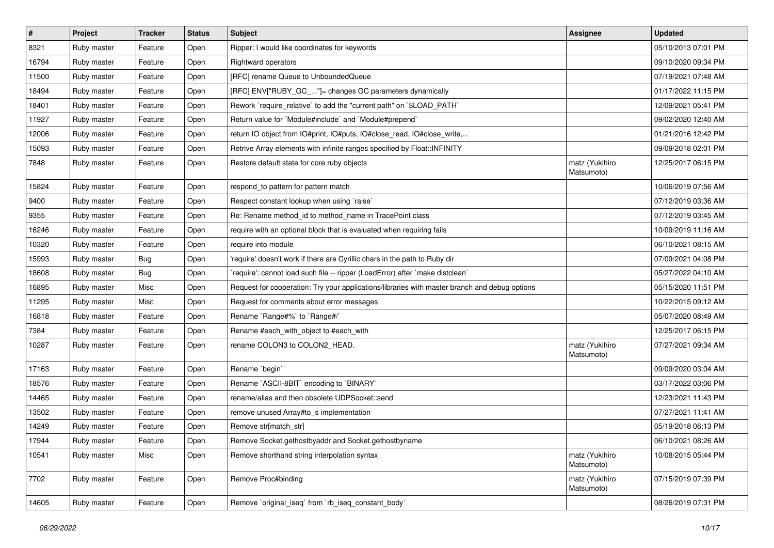| $\vert$ # | Project     | <b>Tracker</b> | <b>Status</b> | Subject                                                                                       | <b>Assignee</b>              | <b>Updated</b>      |
|-----------|-------------|----------------|---------------|-----------------------------------------------------------------------------------------------|------------------------------|---------------------|
| 8321      | Ruby master | Feature        | Open          | Ripper: I would like coordinates for keywords                                                 |                              | 05/10/2013 07:01 PM |
| 16794     | Ruby master | Feature        | Open          | <b>Rightward operators</b>                                                                    |                              | 09/10/2020 09:34 PM |
| 11500     | Ruby master | Feature        | Open          | [RFC] rename Queue to UnboundedQueue                                                          |                              | 07/19/2021 07:48 AM |
| 18494     | Ruby master | Feature        | Open          | [RFC] ENV["RUBY_GC_"]= changes GC parameters dynamically                                      |                              | 01/17/2022 11:15 PM |
| 18401     | Ruby master | Feature        | Open          | Rework `require_relative` to add the "current path" on `\$LOAD_PATH`                          |                              | 12/09/2021 05:41 PM |
| 11927     | Ruby master | Feature        | Open          | Return value for `Module#include` and `Module#prepend`                                        |                              | 09/02/2020 12:40 AM |
| 12006     | Ruby master | Feature        | Open          | return IO object from IO#print, IO#puts, IO#close_read, IO#close_write,                       |                              | 01/21/2016 12:42 PM |
| 15093     | Ruby master | Feature        | Open          | Retrive Array elements with infinite ranges specified by Float:: INFINITY                     |                              | 09/09/2018 02:01 PM |
| 7848      | Ruby master | Feature        | Open          | Restore default state for core ruby objects                                                   | matz (Yukihiro<br>Matsumoto) | 12/25/2017 06:15 PM |
| 15824     | Ruby master | Feature        | Open          | respond_to pattern for pattern match                                                          |                              | 10/06/2019 07:56 AM |
| 9400      | Ruby master | Feature        | Open          | Respect constant lookup when using 'raise'                                                    |                              | 07/12/2019 03:36 AM |
| 9355      | Ruby master | Feature        | Open          | Re: Rename method_id to method_name in TracePoint class                                       |                              | 07/12/2019 03:45 AM |
| 16246     | Ruby master | Feature        | Open          | require with an optional block that is evaluated when requiring fails                         |                              | 10/09/2019 11:16 AM |
| 10320     | Ruby master | Feature        | Open          | require into module                                                                           |                              | 06/10/2021 08:15 AM |
| 15993     | Ruby master | <b>Bug</b>     | Open          | 'require' doesn't work if there are Cyrillic chars in the path to Ruby dir                    |                              | 07/09/2021 04:08 PM |
| 18608     | Ruby master | <b>Bug</b>     | Open          | 'require': cannot load such file -- ripper (LoadError) after 'make distclean'                 |                              | 05/27/2022 04:10 AM |
| 16895     | Ruby master | Misc           | Open          | Request for cooperation: Try your applications/libraries with master branch and debug options |                              | 05/15/2020 11:51 PM |
| 11295     | Ruby master | Misc           | Open          | Request for comments about error messages                                                     |                              | 10/22/2015 09:12 AM |
| 16818     | Ruby master | Feature        | Open          | Rename `Range#%` to `Range#/`                                                                 |                              | 05/07/2020 08:49 AM |
| 7384      | Ruby master | Feature        | Open          | Rename #each_with_object to #each_with                                                        |                              | 12/25/2017 06:15 PM |
| 10287     | Ruby master | Feature        | Open          | rename COLON3 to COLON2_HEAD.                                                                 | matz (Yukihiro<br>Matsumoto) | 07/27/2021 09:34 AM |
| 17163     | Ruby master | Feature        | Open          | Rename `begin`                                                                                |                              | 09/09/2020 03:04 AM |
| 18576     | Ruby master | Feature        | Open          | Rename `ASCII-8BIT` encoding to `BINARY`                                                      |                              | 03/17/2022 03:06 PM |
| 14465     | Ruby master | Feature        | Open          | rename/alias and then obsolete UDPSocket::send                                                |                              | 12/23/2021 11:43 PM |
| 13502     | Ruby master | Feature        | Open          | remove unused Array#to_s implementation                                                       |                              | 07/27/2021 11:41 AM |
| 14249     | Ruby master | Feature        | Open          | Remove str[match_str]                                                                         |                              | 05/19/2018 06:13 PM |
| 17944     | Ruby master | Feature        | Open          | Remove Socket.gethostbyaddr and Socket.gethostbyname                                          |                              | 06/10/2021 08:26 AM |
| 10541     | Ruby master | Misc           | Open          | Remove shorthand string interpolation syntax                                                  | matz (Yukihiro<br>Matsumoto) | 10/08/2015 05:44 PM |
| 7702      | Ruby master | Feature        | Open          | Remove Proc#binding                                                                           | matz (Yukihiro<br>Matsumoto) | 07/15/2019 07:39 PM |
| 14605     | Ruby master | Feature        | Open          | Remove `original_iseq` from `rb_iseq_constant_body`                                           |                              | 08/26/2019 07:31 PM |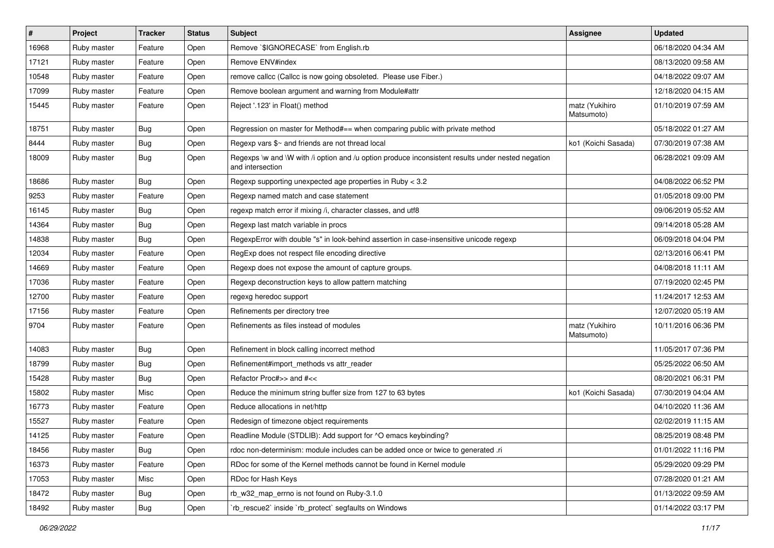| $\vert$ # | Project     | <b>Tracker</b> | <b>Status</b> | <b>Subject</b>                                                                                                        | <b>Assignee</b>              | <b>Updated</b>      |
|-----------|-------------|----------------|---------------|-----------------------------------------------------------------------------------------------------------------------|------------------------------|---------------------|
| 16968     | Ruby master | Feature        | Open          | Remove `\$IGNORECASE` from English.rb                                                                                 |                              | 06/18/2020 04:34 AM |
| 17121     | Ruby master | Feature        | Open          | Remove ENV#index                                                                                                      |                              | 08/13/2020 09:58 AM |
| 10548     | Ruby master | Feature        | Open          | remove callcc (Callcc is now going obsoleted. Please use Fiber.)                                                      |                              | 04/18/2022 09:07 AM |
| 17099     | Ruby master | Feature        | Open          | Remove boolean argument and warning from Module#attr                                                                  |                              | 12/18/2020 04:15 AM |
| 15445     | Ruby master | Feature        | Open          | Reject '.123' in Float() method                                                                                       | matz (Yukihiro<br>Matsumoto) | 01/10/2019 07:59 AM |
| 18751     | Ruby master | <b>Bug</b>     | Open          | Regression on master for Method#== when comparing public with private method                                          |                              | 05/18/2022 01:27 AM |
| 8444      | Ruby master | <b>Bug</b>     | Open          | Regexp vars \$~ and friends are not thread local                                                                      | ko1 (Koichi Sasada)          | 07/30/2019 07:38 AM |
| 18009     | Ruby master | <b>Bug</b>     | Open          | Regexps \w and \W with /i option and /u option produce inconsistent results under nested negation<br>and intersection |                              | 06/28/2021 09:09 AM |
| 18686     | Ruby master | Bug            | Open          | Regexp supporting unexpected age properties in Ruby < 3.2                                                             |                              | 04/08/2022 06:52 PM |
| 9253      | Ruby master | Feature        | Open          | Regexp named match and case statement                                                                                 |                              | 01/05/2018 09:00 PM |
| 16145     | Ruby master | <b>Bug</b>     | Open          | regexp match error if mixing /i, character classes, and utf8                                                          |                              | 09/06/2019 05:52 AM |
| 14364     | Ruby master | <b>Bug</b>     | Open          | Regexp last match variable in procs                                                                                   |                              | 09/14/2018 05:28 AM |
| 14838     | Ruby master | <b>Bug</b>     | Open          | RegexpError with double "s" in look-behind assertion in case-insensitive unicode regexp                               |                              | 06/09/2018 04:04 PM |
| 12034     | Ruby master | Feature        | Open          | RegExp does not respect file encoding directive                                                                       |                              | 02/13/2016 06:41 PM |
| 14669     | Ruby master | Feature        | Open          | Regexp does not expose the amount of capture groups.                                                                  |                              | 04/08/2018 11:11 AM |
| 17036     | Ruby master | Feature        | Open          | Regexp deconstruction keys to allow pattern matching                                                                  |                              | 07/19/2020 02:45 PM |
| 12700     | Ruby master | Feature        | Open          | regexg heredoc support                                                                                                |                              | 11/24/2017 12:53 AM |
| 17156     | Ruby master | Feature        | Open          | Refinements per directory tree                                                                                        |                              | 12/07/2020 05:19 AM |
| 9704      | Ruby master | Feature        | Open          | Refinements as files instead of modules                                                                               | matz (Yukihiro<br>Matsumoto) | 10/11/2016 06:36 PM |
| 14083     | Ruby master | <b>Bug</b>     | Open          | Refinement in block calling incorrect method                                                                          |                              | 11/05/2017 07:36 PM |
| 18799     | Ruby master | <b>Bug</b>     | Open          | Refinement#import_methods vs attr_reader                                                                              |                              | 05/25/2022 06:50 AM |
| 15428     | Ruby master | <b>Bug</b>     | Open          | Refactor Proc#>> and #<<                                                                                              |                              | 08/20/2021 06:31 PM |
| 15802     | Ruby master | Misc           | Open          | Reduce the minimum string buffer size from 127 to 63 bytes                                                            | ko1 (Koichi Sasada)          | 07/30/2019 04:04 AM |
| 16773     | Ruby master | Feature        | Open          | Reduce allocations in net/http                                                                                        |                              | 04/10/2020 11:36 AM |
| 15527     | Ruby master | Feature        | Open          | Redesign of timezone object requirements                                                                              |                              | 02/02/2019 11:15 AM |
| 14125     | Ruby master | Feature        | Open          | Readline Module (STDLIB): Add support for ^O emacs keybinding?                                                        |                              | 08/25/2019 08:48 PM |
| 18456     | Ruby master | <b>Bug</b>     | Open          | rdoc non-determinism: module includes can be added once or twice to generated .ri                                     |                              | 01/01/2022 11:16 PM |
| 16373     | Ruby master | Feature        | Open          | RDoc for some of the Kernel methods cannot be found in Kernel module                                                  |                              | 05/29/2020 09:29 PM |
| 17053     | Ruby master | Misc           | Open          | RDoc for Hash Keys                                                                                                    |                              | 07/28/2020 01:21 AM |
| 18472     | Ruby master | <b>Bug</b>     | Open          | rb_w32_map_errno is not found on Ruby-3.1.0                                                                           |                              | 01/13/2022 09:59 AM |
| 18492     | Ruby master | Bug            | Open          | rb_rescue2` inside `rb_protect` segfaults on Windows                                                                  |                              | 01/14/2022 03:17 PM |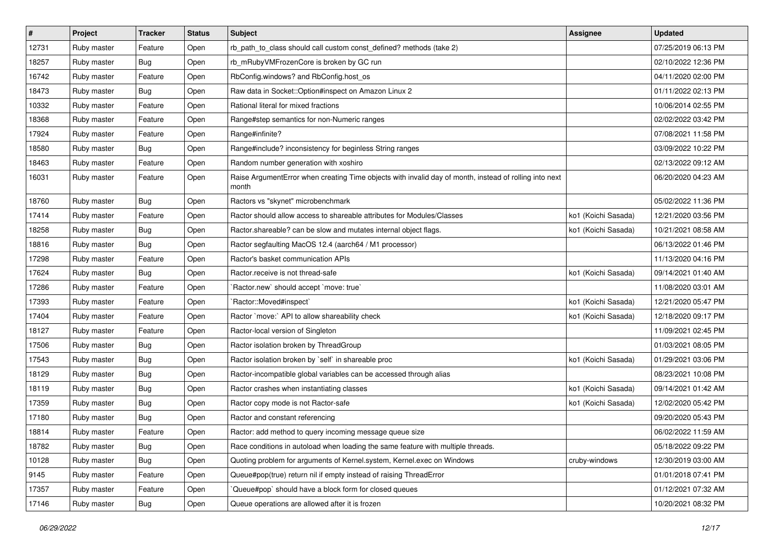| $\vert$ # | Project     | <b>Tracker</b> | <b>Status</b> | Subject                                                                                                         | <b>Assignee</b>     | <b>Updated</b>      |
|-----------|-------------|----------------|---------------|-----------------------------------------------------------------------------------------------------------------|---------------------|---------------------|
| 12731     | Ruby master | Feature        | Open          | rb_path_to_class should call custom const_defined? methods (take 2)                                             |                     | 07/25/2019 06:13 PM |
| 18257     | Ruby master | <b>Bug</b>     | Open          | rb_mRubyVMFrozenCore is broken by GC run                                                                        |                     | 02/10/2022 12:36 PM |
| 16742     | Ruby master | Feature        | Open          | RbConfig.windows? and RbConfig.host_os                                                                          |                     | 04/11/2020 02:00 PM |
| 18473     | Ruby master | <b>Bug</b>     | Open          | Raw data in Socket::Option#inspect on Amazon Linux 2                                                            |                     | 01/11/2022 02:13 PM |
| 10332     | Ruby master | Feature        | Open          | Rational literal for mixed fractions                                                                            |                     | 10/06/2014 02:55 PM |
| 18368     | Ruby master | Feature        | Open          | Range#step semantics for non-Numeric ranges                                                                     |                     | 02/02/2022 03:42 PM |
| 17924     | Ruby master | Feature        | Open          | Range#infinite?                                                                                                 |                     | 07/08/2021 11:58 PM |
| 18580     | Ruby master | <b>Bug</b>     | Open          | Range#include? inconsistency for beginless String ranges                                                        |                     | 03/09/2022 10:22 PM |
| 18463     | Ruby master | Feature        | Open          | Random number generation with xoshiro                                                                           |                     | 02/13/2022 09:12 AM |
| 16031     | Ruby master | Feature        | Open          | Raise ArgumentError when creating Time objects with invalid day of month, instead of rolling into next<br>month |                     | 06/20/2020 04:23 AM |
| 18760     | Ruby master | Bug            | Open          | Ractors vs "skynet" microbenchmark                                                                              |                     | 05/02/2022 11:36 PM |
| 17414     | Ruby master | Feature        | Open          | Ractor should allow access to shareable attributes for Modules/Classes                                          | ko1 (Koichi Sasada) | 12/21/2020 03:56 PM |
| 18258     | Ruby master | <b>Bug</b>     | Open          | Ractor.shareable? can be slow and mutates internal object flags.                                                | ko1 (Koichi Sasada) | 10/21/2021 08:58 AM |
| 18816     | Ruby master | Bug            | Open          | Ractor segfaulting MacOS 12.4 (aarch64 / M1 processor)                                                          |                     | 06/13/2022 01:46 PM |
| 17298     | Ruby master | Feature        | Open          | Ractor's basket communication APIs                                                                              |                     | 11/13/2020 04:16 PM |
| 17624     | Ruby master | Bug            | Open          | Ractor.receive is not thread-safe                                                                               | ko1 (Koichi Sasada) | 09/14/2021 01:40 AM |
| 17286     | Ruby master | Feature        | Open          | Ractor.new' should accept 'move: true'                                                                          |                     | 11/08/2020 03:01 AM |
| 17393     | Ruby master | Feature        | Open          | Ractor::Moved#inspect`                                                                                          | ko1 (Koichi Sasada) | 12/21/2020 05:47 PM |
| 17404     | Ruby master | Feature        | Open          | Ractor `move:` API to allow shareability check                                                                  | ko1 (Koichi Sasada) | 12/18/2020 09:17 PM |
| 18127     | Ruby master | Feature        | Open          | Ractor-local version of Singleton                                                                               |                     | 11/09/2021 02:45 PM |
| 17506     | Ruby master | Bug            | Open          | Ractor isolation broken by ThreadGroup                                                                          |                     | 01/03/2021 08:05 PM |
| 17543     | Ruby master | <b>Bug</b>     | Open          | Ractor isolation broken by `self` in shareable proc                                                             | ko1 (Koichi Sasada) | 01/29/2021 03:06 PM |
| 18129     | Ruby master | <b>Bug</b>     | Open          | Ractor-incompatible global variables can be accessed through alias                                              |                     | 08/23/2021 10:08 PM |
| 18119     | Ruby master | Bug            | Open          | Ractor crashes when instantiating classes                                                                       | ko1 (Koichi Sasada) | 09/14/2021 01:42 AM |
| 17359     | Ruby master | <b>Bug</b>     | Open          | Ractor copy mode is not Ractor-safe                                                                             | ko1 (Koichi Sasada) | 12/02/2020 05:42 PM |
| 17180     | Ruby master | Bug            | Open          | Ractor and constant referencing                                                                                 |                     | 09/20/2020 05:43 PM |
| 18814     | Ruby master | Feature        | Open          | Ractor: add method to query incoming message queue size                                                         |                     | 06/02/2022 11:59 AM |
| 18782     | Ruby master | <b>Bug</b>     | Open          | Race conditions in autoload when loading the same feature with multiple threads.                                |                     | 05/18/2022 09:22 PM |
| 10128     | Ruby master | <b>Bug</b>     | Open          | Quoting problem for arguments of Kernel.system, Kernel.exec on Windows                                          | cruby-windows       | 12/30/2019 03:00 AM |
| 9145      | Ruby master | Feature        | Open          | Queue#pop(true) return nil if empty instead of raising ThreadError                                              |                     | 01/01/2018 07:41 PM |
| 17357     | Ruby master | Feature        | Open          | Queue#pop` should have a block form for closed queues                                                           |                     | 01/12/2021 07:32 AM |
| 17146     | Ruby master | <b>Bug</b>     | Open          | Queue operations are allowed after it is frozen                                                                 |                     | 10/20/2021 08:32 PM |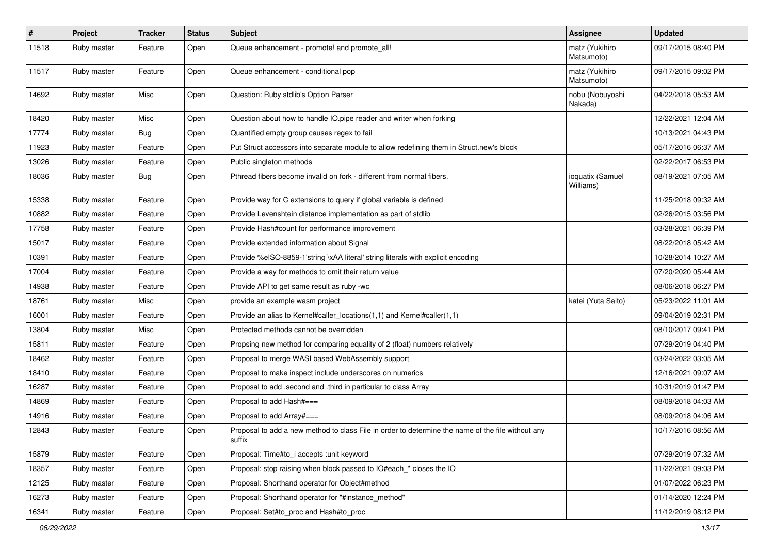| $\sharp$ | Project     | <b>Tracker</b> | <b>Status</b> | <b>Subject</b>                                                                                                     | Assignee                      | <b>Updated</b>      |
|----------|-------------|----------------|---------------|--------------------------------------------------------------------------------------------------------------------|-------------------------------|---------------------|
| 11518    | Ruby master | Feature        | Open          | Queue enhancement - promote! and promote_all!                                                                      | matz (Yukihiro<br>Matsumoto)  | 09/17/2015 08:40 PM |
| 11517    | Ruby master | Feature        | Open          | Queue enhancement - conditional pop                                                                                | matz (Yukihiro<br>Matsumoto)  | 09/17/2015 09:02 PM |
| 14692    | Ruby master | Misc           | Open          | Question: Ruby stdlib's Option Parser                                                                              | nobu (Nobuyoshi<br>Nakada)    | 04/22/2018 05:53 AM |
| 18420    | Ruby master | Misc           | Open          | Question about how to handle IO.pipe reader and writer when forking                                                |                               | 12/22/2021 12:04 AM |
| 17774    | Ruby master | Bug            | Open          | Quantified empty group causes regex to fail                                                                        |                               | 10/13/2021 04:43 PM |
| 11923    | Ruby master | Feature        | Open          | Put Struct accessors into separate module to allow redefining them in Struct.new's block                           |                               | 05/17/2016 06:37 AM |
| 13026    | Ruby master | Feature        | Open          | Public singleton methods                                                                                           |                               | 02/22/2017 06:53 PM |
| 18036    | Ruby master | Bug            | Open          | Pthread fibers become invalid on fork - different from normal fibers.                                              | ioquatix (Samuel<br>Williams) | 08/19/2021 07:05 AM |
| 15338    | Ruby master | Feature        | Open          | Provide way for C extensions to query if global variable is defined                                                |                               | 11/25/2018 09:32 AM |
| 10882    | Ruby master | Feature        | Open          | Provide Levenshtein distance implementation as part of stdlib                                                      |                               | 02/26/2015 03:56 PM |
| 17758    | Ruby master | Feature        | Open          | Provide Hash#count for performance improvement                                                                     |                               | 03/28/2021 06:39 PM |
| 15017    | Ruby master | Feature        | Open          | Provide extended information about Signal                                                                          |                               | 08/22/2018 05:42 AM |
| 10391    | Ruby master | Feature        | Open          | Provide %eISO-8859-1'string \xAA literal' string literals with explicit encoding                                   |                               | 10/28/2014 10:27 AM |
| 17004    | Ruby master | Feature        | Open          | Provide a way for methods to omit their return value                                                               |                               | 07/20/2020 05:44 AM |
| 14938    | Ruby master | Feature        | Open          | Provide API to get same result as ruby -wc                                                                         |                               | 08/06/2018 06:27 PM |
| 18761    | Ruby master | Misc           | Open          | provide an example wasm project                                                                                    | katei (Yuta Saito)            | 05/23/2022 11:01 AM |
| 16001    | Ruby master | Feature        | Open          | Provide an alias to Kernel#caller locations(1,1) and Kernel#caller(1,1)                                            |                               | 09/04/2019 02:31 PM |
| 13804    | Ruby master | Misc           | Open          | Protected methods cannot be overridden                                                                             |                               | 08/10/2017 09:41 PM |
| 15811    | Ruby master | Feature        | Open          | Propsing new method for comparing equality of 2 (float) numbers relatively                                         |                               | 07/29/2019 04:40 PM |
| 18462    | Ruby master | Feature        | Open          | Proposal to merge WASI based WebAssembly support                                                                   |                               | 03/24/2022 03:05 AM |
| 18410    | Ruby master | Feature        | Open          | Proposal to make inspect include underscores on numerics                                                           |                               | 12/16/2021 09:07 AM |
| 16287    | Ruby master | Feature        | Open          | Proposal to add .second and .third in particular to class Array                                                    |                               | 10/31/2019 01:47 PM |
| 14869    | Ruby master | Feature        | Open          | Proposal to add Hash#===                                                                                           |                               | 08/09/2018 04:03 AM |
| 14916    | Ruby master | Feature        | Open          | Proposal to add Array#===                                                                                          |                               | 08/09/2018 04:06 AM |
| 12843    | Ruby master | Feature        | Open          | Proposal to add a new method to class File in order to determine the name of the file without any<br><b>SUITIX</b> |                               | 10/17/2016 08:56 AM |
| 15879    | Ruby master | Feature        | Open          | Proposal: Time#to i accepts : unit keyword                                                                         |                               | 07/29/2019 07:32 AM |
| 18357    | Ruby master | Feature        | Open          | Proposal: stop raising when block passed to IO#each_* closes the IO                                                |                               | 11/22/2021 09:03 PM |
| 12125    | Ruby master | Feature        | Open          | Proposal: Shorthand operator for Object#method                                                                     |                               | 01/07/2022 06:23 PM |
| 16273    | Ruby master | Feature        | Open          | Proposal: Shorthand operator for "#instance_method"                                                                |                               | 01/14/2020 12:24 PM |
| 16341    | Ruby master | Feature        | Open          | Proposal: Set#to_proc and Hash#to_proc                                                                             |                               | 11/12/2019 08:12 PM |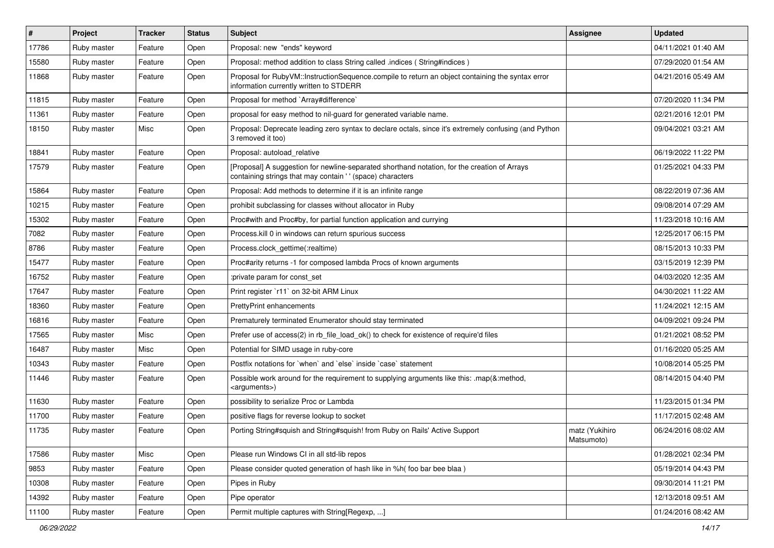| $\vert$ # | Project     | <b>Tracker</b> | <b>Status</b> | Subject                                                                                                                                                   | <b>Assignee</b>              | <b>Updated</b>      |
|-----------|-------------|----------------|---------------|-----------------------------------------------------------------------------------------------------------------------------------------------------------|------------------------------|---------------------|
| 17786     | Ruby master | Feature        | Open          | Proposal: new "ends" keyword                                                                                                                              |                              | 04/11/2021 01:40 AM |
| 15580     | Ruby master | Feature        | Open          | Proposal: method addition to class String called .indices (String#indices)                                                                                |                              | 07/29/2020 01:54 AM |
| 11868     | Ruby master | Feature        | Open          | Proposal for RubyVM::InstructionSequence.compile to return an object containing the syntax error<br>information currently written to STDERR               |                              | 04/21/2016 05:49 AM |
| 11815     | Ruby master | Feature        | Open          | Proposal for method `Array#difference`                                                                                                                    |                              | 07/20/2020 11:34 PM |
| 11361     | Ruby master | Feature        | Open          | proposal for easy method to nil-guard for generated variable name.                                                                                        |                              | 02/21/2016 12:01 PM |
| 18150     | Ruby master | Misc           | Open          | Proposal: Deprecate leading zero syntax to declare octals, since it's extremely confusing (and Python<br>3 removed it too)                                |                              | 09/04/2021 03:21 AM |
| 18841     | Ruby master | Feature        | Open          | Proposal: autoload relative                                                                                                                               |                              | 06/19/2022 11:22 PM |
| 17579     | Ruby master | Feature        | Open          | [Proposal] A suggestion for newline-separated shorthand notation, for the creation of Arrays<br>containing strings that may contain '' (space) characters |                              | 01/25/2021 04:33 PM |
| 15864     | Ruby master | Feature        | Open          | Proposal: Add methods to determine if it is an infinite range                                                                                             |                              | 08/22/2019 07:36 AM |
| 10215     | Ruby master | Feature        | Open          | prohibit subclassing for classes without allocator in Ruby                                                                                                |                              | 09/08/2014 07:29 AM |
| 15302     | Ruby master | Feature        | Open          | Proc#with and Proc#by, for partial function application and currying                                                                                      |                              | 11/23/2018 10:16 AM |
| 7082      | Ruby master | Feature        | Open          | Process. kill 0 in windows can return spurious success                                                                                                    |                              | 12/25/2017 06:15 PM |
| 8786      | Ruby master | Feature        | Open          | Process.clock gettime(:realtime)                                                                                                                          |                              | 08/15/2013 10:33 PM |
| 15477     | Ruby master | Feature        | Open          | Proc#arity returns -1 for composed lambda Procs of known arguments                                                                                        |                              | 03/15/2019 12:39 PM |
| 16752     | Ruby master | Feature        | Open          | :private param for const_set                                                                                                                              |                              | 04/03/2020 12:35 AM |
| 17647     | Ruby master | Feature        | Open          | Print register `r11` on 32-bit ARM Linux                                                                                                                  |                              | 04/30/2021 11:22 AM |
| 18360     | Ruby master | Feature        | Open          | <b>PrettyPrint enhancements</b>                                                                                                                           |                              | 11/24/2021 12:15 AM |
| 16816     | Ruby master | Feature        | Open          | Prematurely terminated Enumerator should stay terminated                                                                                                  |                              | 04/09/2021 09:24 PM |
| 17565     | Ruby master | Misc           | Open          | Prefer use of access(2) in rb_file_load_ok() to check for existence of require'd files                                                                    |                              | 01/21/2021 08:52 PM |
| 16487     | Ruby master | Misc           | Open          | Potential for SIMD usage in ruby-core                                                                                                                     |                              | 01/16/2020 05:25 AM |
| 10343     | Ruby master | Feature        | Open          | Postfix notations for 'when' and 'else' inside 'case' statement                                                                                           |                              | 10/08/2014 05:25 PM |
| 11446     | Ruby master | Feature        | Open          | Possible work around for the requirement to supplying arguments like this: .map(&:method,<br><arguments>)</arguments>                                     |                              | 08/14/2015 04:40 PM |
| 11630     | Ruby master | Feature        | Open          | possibility to serialize Proc or Lambda                                                                                                                   |                              | 11/23/2015 01:34 PM |
| 11700     | Ruby master | Feature        | Open          | positive flags for reverse lookup to socket                                                                                                               |                              | 11/17/2015 02:48 AM |
| 11735     | Ruby master | Feature        | Open          | Porting String#squish and String#squish! from Ruby on Rails' Active Support                                                                               | matz (Yukihiro<br>Matsumoto) | 06/24/2016 08:02 AM |
| 17586     | Ruby master | Misc           | Open          | Please run Windows CI in all std-lib repos                                                                                                                |                              | 01/28/2021 02:34 PM |
| 9853      | Ruby master | Feature        | Open          | Please consider quoted generation of hash like in %h( foo bar bee blaa)                                                                                   |                              | 05/19/2014 04:43 PM |
| 10308     | Ruby master | Feature        | Open          | Pipes in Ruby                                                                                                                                             |                              | 09/30/2014 11:21 PM |
| 14392     | Ruby master | Feature        | Open          | Pipe operator                                                                                                                                             |                              | 12/13/2018 09:51 AM |
| 11100     | Ruby master | Feature        | Open          | Permit multiple captures with String[Regexp, ]                                                                                                            |                              | 01/24/2016 08:42 AM |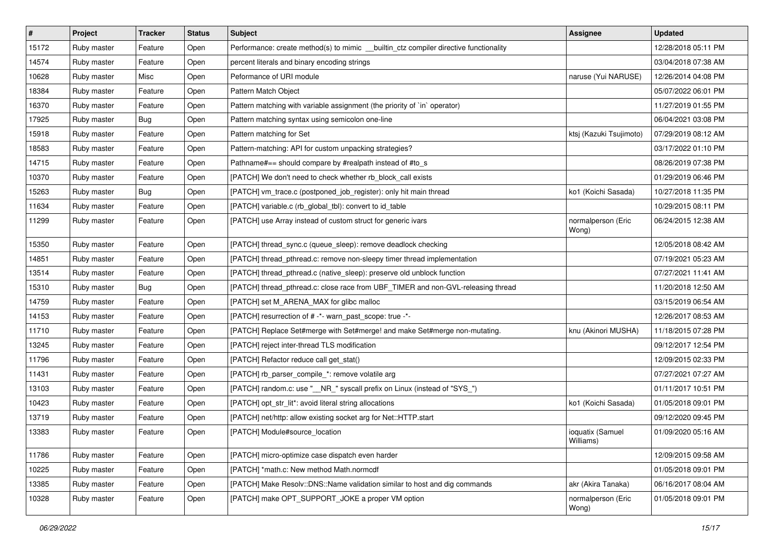| $\vert$ # | Project     | <b>Tracker</b> | <b>Status</b> | Subject                                                                               | <b>Assignee</b>               | <b>Updated</b>      |
|-----------|-------------|----------------|---------------|---------------------------------------------------------------------------------------|-------------------------------|---------------------|
| 15172     | Ruby master | Feature        | Open          | Performance: create method(s) to mimic __builtin_ctz compiler directive functionality |                               | 12/28/2018 05:11 PM |
| 14574     | Ruby master | Feature        | Open          | percent literals and binary encoding strings                                          |                               | 03/04/2018 07:38 AM |
| 10628     | Ruby master | Misc           | Open          | Peformance of URI module                                                              | naruse (Yui NARUSE)           | 12/26/2014 04:08 PM |
| 18384     | Ruby master | Feature        | Open          | Pattern Match Object                                                                  |                               | 05/07/2022 06:01 PM |
| 16370     | Ruby master | Feature        | Open          | Pattern matching with variable assignment (the priority of `in` operator)             |                               | 11/27/2019 01:55 PM |
| 17925     | Ruby master | <b>Bug</b>     | Open          | Pattern matching syntax using semicolon one-line                                      |                               | 06/04/2021 03:08 PM |
| 15918     | Ruby master | Feature        | Open          | Pattern matching for Set                                                              | ktsj (Kazuki Tsujimoto)       | 07/29/2019 08:12 AM |
| 18583     | Ruby master | Feature        | Open          | Pattern-matching: API for custom unpacking strategies?                                |                               | 03/17/2022 01:10 PM |
| 14715     | Ruby master | Feature        | Open          | Pathname#== should compare by #realpath instead of #to_s                              |                               | 08/26/2019 07:38 PM |
| 10370     | Ruby master | Feature        | Open          | [PATCH] We don't need to check whether rb_block_call exists                           |                               | 01/29/2019 06:46 PM |
| 15263     | Ruby master | <b>Bug</b>     | Open          | [PATCH] vm_trace.c (postponed_job_register): only hit main thread                     | ko1 (Koichi Sasada)           | 10/27/2018 11:35 PM |
| 11634     | Ruby master | Feature        | Open          | [PATCH] variable.c (rb_global_tbl): convert to id_table                               |                               | 10/29/2015 08:11 PM |
| 11299     | Ruby master | Feature        | Open          | [PATCH] use Array instead of custom struct for generic ivars                          | normalperson (Eric<br>Wong)   | 06/24/2015 12:38 AM |
| 15350     | Ruby master | Feature        | Open          | [PATCH] thread_sync.c (queue_sleep): remove deadlock checking                         |                               | 12/05/2018 08:42 AM |
| 14851     | Ruby master | Feature        | Open          | [PATCH] thread_pthread.c: remove non-sleepy timer thread implementation               |                               | 07/19/2021 05:23 AM |
| 13514     | Ruby master | Feature        | Open          | [PATCH] thread_pthread.c (native_sleep): preserve old unblock function                |                               | 07/27/2021 11:41 AM |
| 15310     | Ruby master | <b>Bug</b>     | Open          | [PATCH] thread_pthread.c: close race from UBF_TIMER and non-GVL-releasing thread      |                               | 11/20/2018 12:50 AM |
| 14759     | Ruby master | Feature        | Open          | [PATCH] set M_ARENA_MAX for glibc malloc                                              |                               | 03/15/2019 06:54 AM |
| 14153     | Ruby master | Feature        | Open          | [PATCH] resurrection of # -*- warn_past_scope: true -*-                               |                               | 12/26/2017 08:53 AM |
| 11710     | Ruby master | Feature        | Open          | [PATCH] Replace Set#merge with Set#merge! and make Set#merge non-mutating.            | knu (Akinori MUSHA)           | 11/18/2015 07:28 PM |
| 13245     | Ruby master | Feature        | Open          | [PATCH] reject inter-thread TLS modification                                          |                               | 09/12/2017 12:54 PM |
| 11796     | Ruby master | Feature        | Open          | [PATCH] Refactor reduce call get_stat()                                               |                               | 12/09/2015 02:33 PM |
| 11431     | Ruby master | Feature        | Open          | [PATCH] rb_parser_compile_*: remove volatile arg                                      |                               | 07/27/2021 07:27 AM |
| 13103     | Ruby master | Feature        | Open          | [PATCH] random.c: use "__NR_" syscall prefix on Linux (instead of "SYS_")             |                               | 01/11/2017 10:51 PM |
| 10423     | Ruby master | Feature        | Open          | [PATCH] opt_str_lit*: avoid literal string allocations                                | ko1 (Koichi Sasada)           | 01/05/2018 09:01 PM |
| 13719     | Ruby master | Feature        | Open          | [PATCH] net/http: allow existing socket arg for Net::HTTP.start                       |                               | 09/12/2020 09:45 PM |
| 13383     | Ruby master | Feature        | Open          | [PATCH] Module#source location                                                        | ioquatix (Samuel<br>Williams) | 01/09/2020 05:16 AM |
| 11786     | Ruby master | Feature        | Open          | [PATCH] micro-optimize case dispatch even harder                                      |                               | 12/09/2015 09:58 AM |
| 10225     | Ruby master | Feature        | Open          | [PATCH] *math.c: New method Math.normcdf                                              |                               | 01/05/2018 09:01 PM |
| 13385     | Ruby master | Feature        | Open          | [PATCH] Make Resolv::DNS::Name validation similar to host and dig commands            | akr (Akira Tanaka)            | 06/16/2017 08:04 AM |
| 10328     | Ruby master | Feature        | Open          | [PATCH] make OPT_SUPPORT_JOKE a proper VM option                                      | normalperson (Eric<br>Wong)   | 01/05/2018 09:01 PM |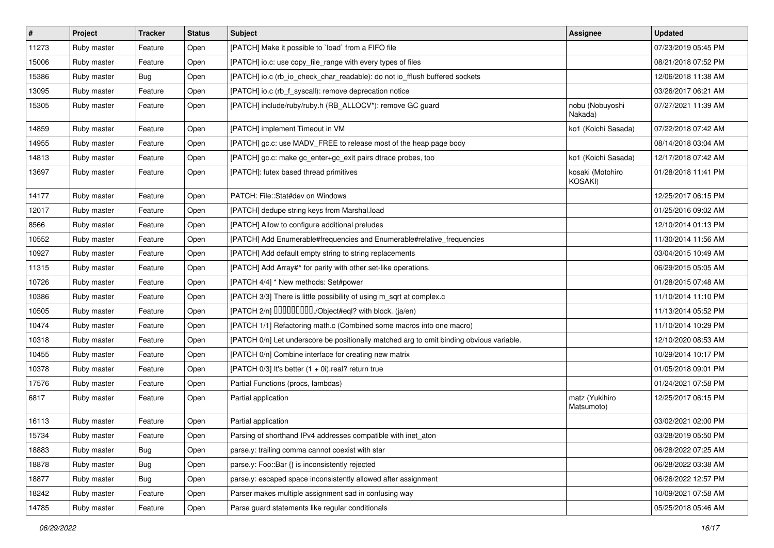| $\sharp$ | Project     | <b>Tracker</b> | <b>Status</b> | <b>Subject</b>                                                                           | Assignee                     | <b>Updated</b>      |
|----------|-------------|----------------|---------------|------------------------------------------------------------------------------------------|------------------------------|---------------------|
| 11273    | Ruby master | Feature        | Open          | [PATCH] Make it possible to `load` from a FIFO file                                      |                              | 07/23/2019 05:45 PM |
| 15006    | Ruby master | Feature        | Open          | [PATCH] io.c: use copy_file_range with every types of files                              |                              | 08/21/2018 07:52 PM |
| 15386    | Ruby master | Bug            | Open          | [PATCH] io.c (rb_io_check_char_readable): do not io_fflush buffered sockets              |                              | 12/06/2018 11:38 AM |
| 13095    | Ruby master | Feature        | Open          | [PATCH] io.c (rb_f_syscall): remove deprecation notice                                   |                              | 03/26/2017 06:21 AM |
| 15305    | Ruby master | Feature        | Open          | [PATCH] include/ruby/ruby.h (RB_ALLOCV*): remove GC guard                                | nobu (Nobuyoshi<br>Nakada)   | 07/27/2021 11:39 AM |
| 14859    | Ruby master | Feature        | Open          | [PATCH] implement Timeout in VM                                                          | ko1 (Koichi Sasada)          | 07/22/2018 07:42 AM |
| 14955    | Ruby master | Feature        | Open          | [PATCH] gc.c: use MADV_FREE to release most of the heap page body                        |                              | 08/14/2018 03:04 AM |
| 14813    | Ruby master | Feature        | Open          | [PATCH] gc.c: make gc_enter+gc_exit pairs dtrace probes, too                             | ko1 (Koichi Sasada)          | 12/17/2018 07:42 AM |
| 13697    | Ruby master | Feature        | Open          | [PATCH]: futex based thread primitives                                                   | kosaki (Motohiro<br>KOSAKI)  | 01/28/2018 11:41 PM |
| 14177    | Ruby master | Feature        | Open          | PATCH: File::Stat#dev on Windows                                                         |                              | 12/25/2017 06:15 PM |
| 12017    | Ruby master | Feature        | Open          | [PATCH] dedupe string keys from Marshal.load                                             |                              | 01/25/2016 09:02 AM |
| 8566     | Ruby master | Feature        | Open          | [PATCH] Allow to configure additional preludes                                           |                              | 12/10/2014 01:13 PM |
| 10552    | Ruby master | Feature        | Open          | [PATCH] Add Enumerable#frequencies and Enumerable#relative_frequencies                   |                              | 11/30/2014 11:56 AM |
| 10927    | Ruby master | Feature        | Open          | [PATCH] Add default empty string to string replacements                                  |                              | 03/04/2015 10:49 AM |
| 11315    | Ruby master | Feature        | Open          | [PATCH] Add Array#^ for parity with other set-like operations.                           |                              | 06/29/2015 05:05 AM |
| 10726    | Ruby master | Feature        | Open          | [PATCH 4/4] * New methods: Set#power                                                     |                              | 01/28/2015 07:48 AM |
| 10386    | Ruby master | Feature        | Open          | [PATCH 3/3] There is little possibility of using m_sqrt at complex.c                     |                              | 11/10/2014 11:10 PM |
| 10505    | Ruby master | Feature        | Open          | [PATCH 2/n] DDDDDDDD./Object#eql? with block. (ja/en)                                    |                              | 11/13/2014 05:52 PM |
| 10474    | Ruby master | Feature        | Open          | [PATCH 1/1] Refactoring math.c (Combined some macros into one macro)                     |                              | 11/10/2014 10:29 PM |
| 10318    | Ruby master | Feature        | Open          | [PATCH 0/n] Let underscore be positionally matched arg to omit binding obvious variable. |                              | 12/10/2020 08:53 AM |
| 10455    | Ruby master | Feature        | Open          | [PATCH 0/n] Combine interface for creating new matrix                                    |                              | 10/29/2014 10:17 PM |
| 10378    | Ruby master | Feature        | Open          | [PATCH $0/3$ ] It's better $(1 + 0i)$ .real? return true                                 |                              | 01/05/2018 09:01 PM |
| 17576    | Ruby master | Feature        | Open          | Partial Functions (procs, lambdas)                                                       |                              | 01/24/2021 07:58 PM |
| 6817     | Ruby master | Feature        | Open          | Partial application                                                                      | matz (Yukihiro<br>Matsumoto) | 12/25/2017 06:15 PM |
| 16113    | Ruby master | Feature        | Open          | Partial application                                                                      |                              | 03/02/2021 02:00 PM |
| 15734    | Ruby master | Feature        | Open          | Parsing of shorthand IPv4 addresses compatible with inet_aton                            |                              | 03/28/2019 05:50 PM |
| 18883    | Ruby master | <b>Bug</b>     | Open          | parse.y: trailing comma cannot coexist with star                                         |                              | 06/28/2022 07:25 AM |
| 18878    | Ruby master | <b>Bug</b>     | Open          | parse.y: Foo::Bar {} is inconsistently rejected                                          |                              | 06/28/2022 03:38 AM |
| 18877    | Ruby master | <b>Bug</b>     | Open          | parse.y: escaped space inconsistently allowed after assignment                           |                              | 06/26/2022 12:57 PM |
| 18242    | Ruby master | Feature        | Open          | Parser makes multiple assignment sad in confusing way                                    |                              | 10/09/2021 07:58 AM |
| 14785    | Ruby master | Feature        | Open          | Parse guard statements like regular conditionals                                         |                              | 05/25/2018 05:46 AM |